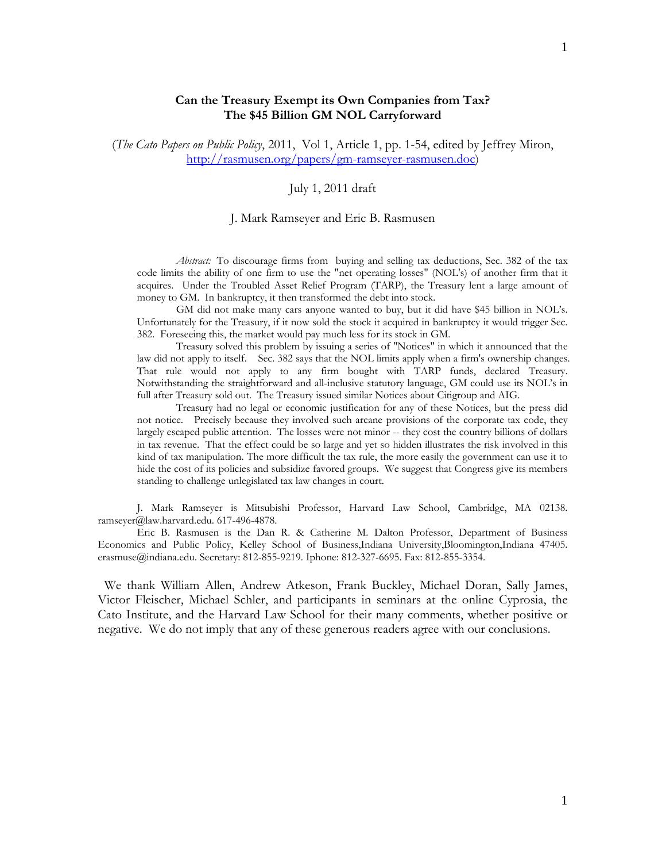# **Can the Treasury Exempt its Own Companies from Tax? The \$45 Billion GM NOL Carryforward**

(*The Cato Papers on Public Policy*, 2011, Vol 1, Article 1, pp. 1-54, edited by Jeffrey Miron, http://rasmusen.org/papers/gm-ramseyer-rasmusen.doc)

# July 1, 2011 draft

### J. Mark Ramseyer and Eric B. Rasmusen

*Abstract:* To discourage firms from buying and selling tax deductions, Sec. 382 of the tax code limits the ability of one firm to use the "net operating losses" (NOL's) of another firm that it acquires. Under the Troubled Asset Relief Program (TARP), the Treasury lent a large amount of money to GM. In bankruptcy, it then transformed the debt into stock.

 GM did not make many cars anyone wanted to buy, but it did have \$45 billion in NOL's. Unfortunately for the Treasury, if it now sold the stock it acquired in bankruptcy it would trigger Sec. 382. Foreseeing this, the market would pay much less for its stock in GM.

 Treasury solved this problem by issuing a series of "Notices" in which it announced that the law did not apply to itself. Sec. 382 says that the NOL limits apply when a firm's ownership changes. That rule would not apply to any firm bought with TARP funds, declared Treasury. Notwithstanding the straightforward and all-inclusive statutory language, GM could use its NOL's in full after Treasury sold out. The Treasury issued similar Notices about Citigroup and AIG.

 Treasury had no legal or economic justification for any of these Notices, but the press did not notice. Precisely because they involved such arcane provisions of the corporate tax code, they largely escaped public attention. The losses were not minor -- they cost the country billions of dollars in tax revenue. That the effect could be so large and yet so hidden illustrates the risk involved in this kind of tax manipulation. The more difficult the tax rule, the more easily the government can use it to hide the cost of its policies and subsidize favored groups. We suggest that Congress give its members standing to challenge unlegislated tax law changes in court.

 J. Mark Ramseyer is Mitsubishi Professor, Harvard Law School, Cambridge, MA 02138. ramseyer@law.harvard.edu. 617-496-4878.

 Eric B. Rasmusen is the Dan R. & Catherine M. Dalton Professor, Department of Business Economics and Public Policy, Kelley School of Business,Indiana University,Bloomington,Indiana 47405. erasmuse@indiana.edu. Secretary: 812-855-9219. Iphone: 812-327-6695. Fax: 812-855-3354.

 We thank William Allen, Andrew Atkeson, Frank Buckley, Michael Doran, Sally James, Victor Fleischer, Michael Schler, and participants in seminars at the online Cyprosia, the Cato Institute, and the Harvard Law School for their many comments, whether positive or negative. We do not imply that any of these generous readers agree with our conclusions.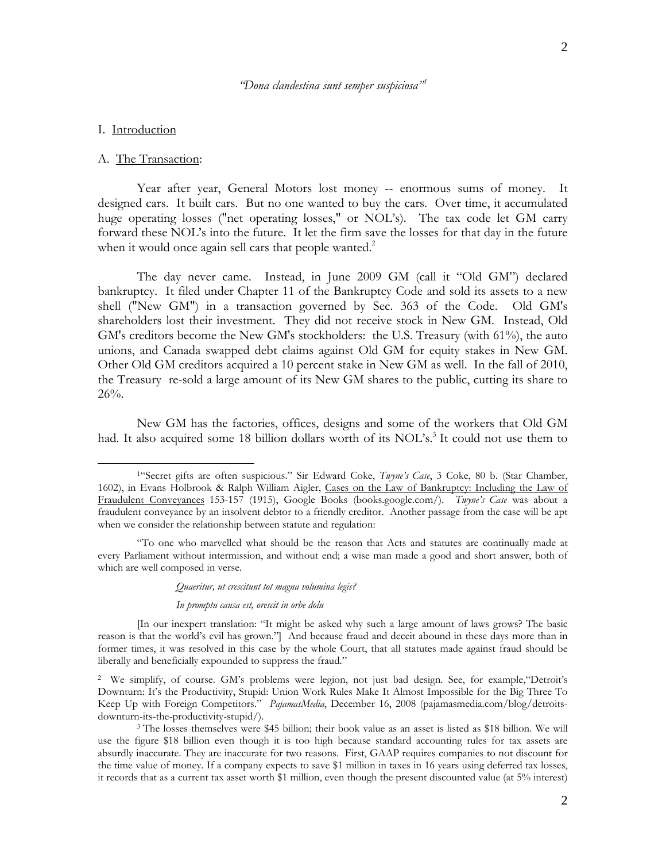#### *"Dona clandestina sunt semper suspiciosa"1*

## I. Introduction

 $\overline{a}$ 

## A. The Transaction:

 Year after year, General Motors lost money -- enormous sums of money. It designed cars. It built cars. But no one wanted to buy the cars. Over time, it accumulated huge operating losses ("net operating losses," or NOL's). The tax code let GM carry forward these NOL's into the future. It let the firm save the losses for that day in the future when it would once again sell cars that people wanted. $2$ 

 The day never came. Instead, in June 2009 GM (call it "Old GM") declared bankruptcy. It filed under Chapter 11 of the Bankruptcy Code and sold its assets to a new shell ("New GM") in a transaction governed by Sec. 363 of the Code. Old GM's shareholders lost their investment. They did not receive stock in New GM. Instead, Old GM's creditors become the New GM's stockholders: the U.S. Treasury (with 61%), the auto unions, and Canada swapped debt claims against Old GM for equity stakes in New GM. Other Old GM creditors acquired a 10 percent stake in New GM as well. In the fall of 2010, the Treasury re-sold a large amount of its New GM shares to the public, cutting its share to 26%.

 New GM has the factories, offices, designs and some of the workers that Old GM had. It also acquired some 18 billion dollars worth of its NOL's.<sup>3</sup> It could not use them to

#### *Quaeritur, ut crescitunt tot magna volumina legis?*

#### *In promptu causa est, orescit in orbe dolu*

<sup>1&</sup>quot;Secret gifts are often suspicious." Sir Edward Coke, *Twyne's Case*, 3 Coke, 80 b. (Star Chamber, 1602), in Evans Holbrook & Ralph William Aigler, Cases on the Law of Bankruptcy: Including the Law of Fraudulent Conveyances 153-157 (1915), Google Books (books.google.com/). *Twyne's Case* was about a fraudulent conveyance by an insolvent debtor to a friendly creditor. Another passage from the case will be apt when we consider the relationship between statute and regulation:

<sup>&</sup>quot;To one who marvelled what should be the reason that Acts and statutes are continually made at every Parliament without intermission, and without end; a wise man made a good and short answer, both of which are well composed in verse.

<sup>[</sup>In our inexpert translation: "It might be asked why such a large amount of laws grows? The basic reason is that the world's evil has grown."] And because fraud and deceit abound in these days more than in former times, it was resolved in this case by the whole Court, that all statutes made against fraud should be liberally and beneficially expounded to suppress the fraud."

<sup>2</sup> We simplify, of course. GM's problems were legion, not just bad design. See, for example,"Detroit's Downturn: It's the Productivity, Stupid: Union Work Rules Make It Almost Impossible for the Big Three To Keep Up with Foreign Competitors." *PajamasMedia*, December 16, 2008 (pajamasmedia.com/blog/detroitsdownturn-its-the-productivity-stupid/). 3 The losses themselves were \$45 billion; their book value as an asset is listed as \$18 billion. We will

use the figure \$18 billion even though it is too high because standard accounting rules for tax assets are absurdly inaccurate. They are inaccurate for two reasons. First, GAAP requires companies to not discount for the time value of money. If a company expects to save \$1 million in taxes in 16 years using deferred tax losses, it records that as a current tax asset worth \$1 million, even though the present discounted value (at 5% interest)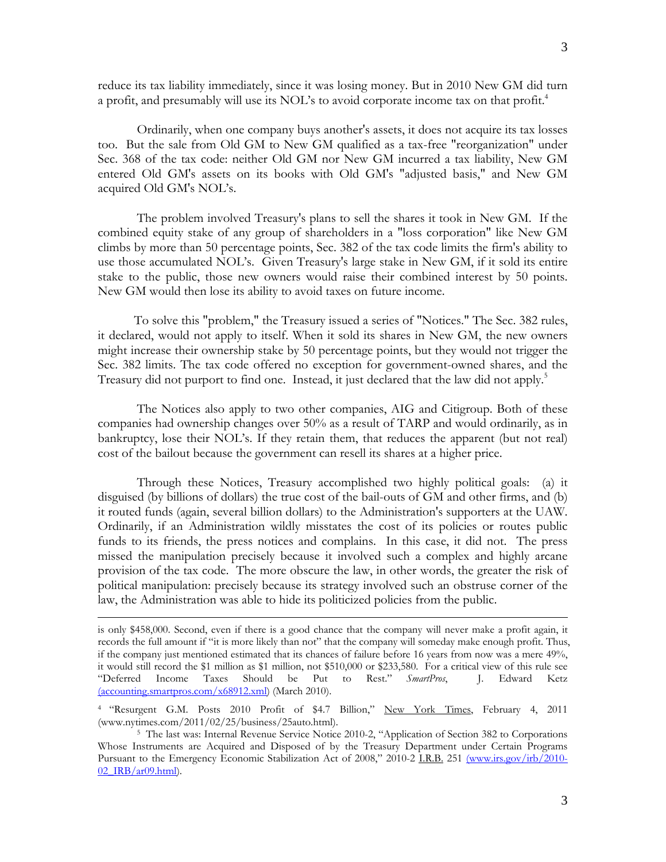reduce its tax liability immediately, since it was losing money. But in 2010 New GM did turn a profit, and presumably will use its NOL's to avoid corporate income tax on that profit.<sup>4</sup>

 Ordinarily, when one company buys another's assets, it does not acquire its tax losses too. But the sale from Old GM to New GM qualified as a tax-free "reorganization" under Sec. 368 of the tax code: neither Old GM nor New GM incurred a tax liability, New GM entered Old GM's assets on its books with Old GM's "adjusted basis," and New GM acquired Old GM's NOL's.

 The problem involved Treasury's plans to sell the shares it took in New GM. If the combined equity stake of any group of shareholders in a "loss corporation" like New GM climbs by more than 50 percentage points, Sec. 382 of the tax code limits the firm's ability to use those accumulated NOL's. Given Treasury's large stake in New GM, if it sold its entire stake to the public, those new owners would raise their combined interest by 50 points. New GM would then lose its ability to avoid taxes on future income.

 To solve this "problem," the Treasury issued a series of "Notices." The Sec. 382 rules, it declared, would not apply to itself. When it sold its shares in New GM, the new owners might increase their ownership stake by 50 percentage points, but they would not trigger the Sec. 382 limits. The tax code offered no exception for government-owned shares, and the Treasury did not purport to find one. Instead, it just declared that the law did not apply.<sup>5</sup>

 The Notices also apply to two other companies, AIG and Citigroup. Both of these companies had ownership changes over 50% as a result of TARP and would ordinarily, as in bankruptcy, lose their NOL's. If they retain them, that reduces the apparent (but not real) cost of the bailout because the government can resell its shares at a higher price.

 Through these Notices, Treasury accomplished two highly political goals: (a) it disguised (by billions of dollars) the true cost of the bail-outs of GM and other firms, and (b) it routed funds (again, several billion dollars) to the Administration's supporters at the UAW. Ordinarily, if an Administration wildly misstates the cost of its policies or routes public funds to its friends, the press notices and complains. In this case, it did not. The press missed the manipulation precisely because it involved such a complex and highly arcane provision of the tax code. The more obscure the law, in other words, the greater the risk of political manipulation: precisely because its strategy involved such an obstruse corner of the law, the Administration was able to hide its politicized policies from the public.

1

is only \$458,000. Second, even if there is a good chance that the company will never make a profit again, it records the full amount if "it is more likely than not" that the company will someday make enough profit. Thus, if the company just mentioned estimated that its chances of failure before 16 years from now was a mere 49%, it would still record the \$1 million as \$1 million, not \$510,000 or \$233,580. For a critical view of this rule see "Deferred Income Taxes Should be Put to Rest." *SmartPros*, J. Edward Ketz (accounting.smartpros.com/x68912.xml) (March 2010).

<sup>4 &</sup>quot;Resurgent G.M. Posts 2010 Profit of \$4.7 Billion," New York Times, February 4, 2011 (www.nytimes.com/2011/02/25/business/25auto.html).

<sup>5</sup> The last was: Internal Revenue Service Notice 2010-2, "Application of Section 382 to Corporations Whose Instruments are Acquired and Disposed of by the Treasury Department under Certain Programs Pursuant to the Emergency Economic Stabilization Act of 2008," 2010-2 I.R.B. 251 (www.irs.gov/irb/2010-02\_IRB/ar09.html).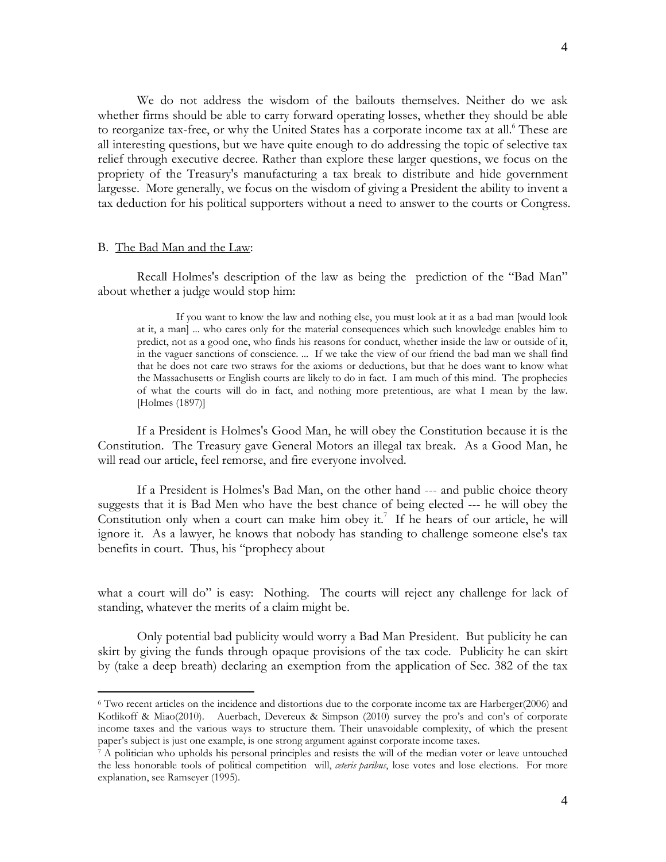We do not address the wisdom of the bailouts themselves. Neither do we ask whether firms should be able to carry forward operating losses, whether they should be able to reorganize tax-free, or why the United States has a corporate income tax at all.<sup>6</sup> These are all interesting questions, but we have quite enough to do addressing the topic of selective tax relief through executive decree. Rather than explore these larger questions, we focus on the propriety of the Treasury's manufacturing a tax break to distribute and hide government largesse. More generally, we focus on the wisdom of giving a President the ability to invent a tax deduction for his political supporters without a need to answer to the courts or Congress.

### B. The Bad Man and the Law:

 $\overline{a}$ 

 Recall Holmes's description of the law as being the prediction of the "Bad Man" about whether a judge would stop him:

 If you want to know the law and nothing else, you must look at it as a bad man [would look at it, a man] ... who cares only for the material consequences which such knowledge enables him to predict, not as a good one, who finds his reasons for conduct, whether inside the law or outside of it, in the vaguer sanctions of conscience. ... If we take the view of our friend the bad man we shall find that he does not care two straws for the axioms or deductions, but that he does want to know what the Massachusetts or English courts are likely to do in fact. I am much of this mind. The prophecies of what the courts will do in fact, and nothing more pretentious, are what I mean by the law. [Holmes (1897)]

 If a President is Holmes's Good Man, he will obey the Constitution because it is the Constitution. The Treasury gave General Motors an illegal tax break. As a Good Man, he will read our article, feel remorse, and fire everyone involved.

 If a President is Holmes's Bad Man, on the other hand --- and public choice theory suggests that it is Bad Men who have the best chance of being elected --- he will obey the Constitution only when a court can make him obey it.<sup>7</sup> If he hears of our article, he will ignore it. As a lawyer, he knows that nobody has standing to challenge someone else's tax benefits in court. Thus, his "prophecy about

what a court will do" is easy: Nothing. The courts will reject any challenge for lack of standing, whatever the merits of a claim might be.

 Only potential bad publicity would worry a Bad Man President. But publicity he can skirt by giving the funds through opaque provisions of the tax code. Publicity he can skirt by (take a deep breath) declaring an exemption from the application of Sec. 382 of the tax

<sup>6</sup> Two recent articles on the incidence and distortions due to the corporate income tax are Harberger(2006) and Kotlikoff & Miao(2010). Auerbach, Devereux & Simpson (2010) survey the pro's and con's of corporate income taxes and the various ways to structure them. Their unavoidable complexity, of which the present paper's subject is just one example, is one strong argument against corporate income taxes.<br>7 A politician who upholds his personal principles and resists the will of the median voter or leave untouched

the less honorable tools of political competition will, *ceteris paribus*, lose votes and lose elections. For more explanation, see Ramseyer (1995).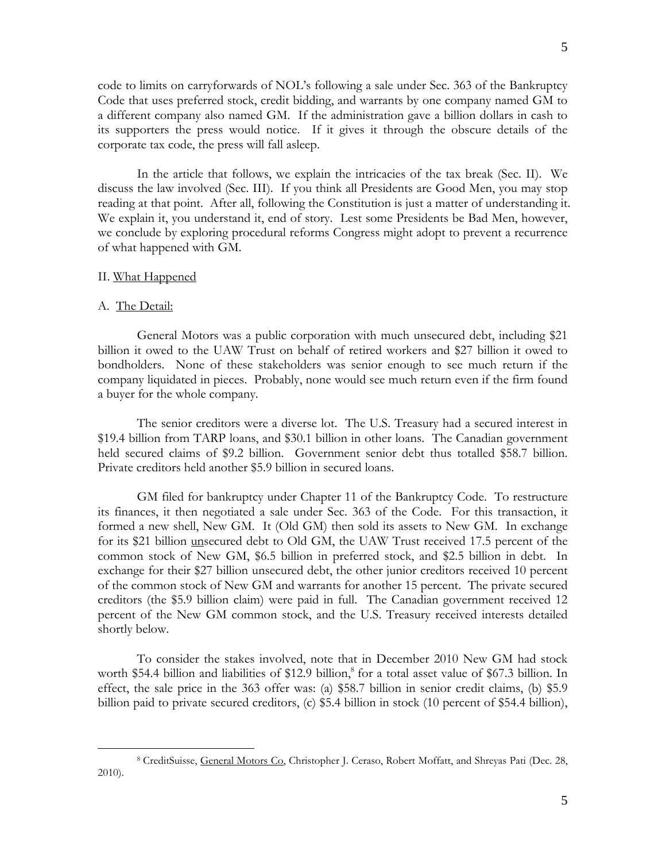code to limits on carryforwards of NOL's following a sale under Sec. 363 of the Bankruptcy Code that uses preferred stock, credit bidding, and warrants by one company named GM to a different company also named GM. If the administration gave a billion dollars in cash to its supporters the press would notice. If it gives it through the obscure details of the corporate tax code, the press will fall asleep.

 In the article that follows, we explain the intricacies of the tax break (Sec. II). We discuss the law involved (Sec. III). If you think all Presidents are Good Men, you may stop reading at that point. After all, following the Constitution is just a matter of understanding it. We explain it, you understand it, end of story. Lest some Presidents be Bad Men, however, we conclude by exploring procedural reforms Congress might adopt to prevent a recurrence of what happened with GM.

## II. What Happened

### A. The Detail:

 $\overline{a}$ 

 General Motors was a public corporation with much unsecured debt, including \$21 billion it owed to the UAW Trust on behalf of retired workers and \$27 billion it owed to bondholders. None of these stakeholders was senior enough to see much return if the company liquidated in pieces. Probably, none would see much return even if the firm found a buyer for the whole company.

 The senior creditors were a diverse lot. The U.S. Treasury had a secured interest in \$19.4 billion from TARP loans, and \$30.1 billion in other loans. The Canadian government held secured claims of \$9.2 billion. Government senior debt thus totalled \$58.7 billion. Private creditors held another \$5.9 billion in secured loans.

 GM filed for bankruptcy under Chapter 11 of the Bankruptcy Code. To restructure its finances, it then negotiated a sale under Sec. 363 of the Code. For this transaction, it formed a new shell, New GM. It (Old GM) then sold its assets to New GM. In exchange for its \$21 billion unsecured debt to Old GM, the UAW Trust received 17.5 percent of the common stock of New GM, \$6.5 billion in preferred stock, and \$2.5 billion in debt. In exchange for their \$27 billion unsecured debt, the other junior creditors received 10 percent of the common stock of New GM and warrants for another 15 percent. The private secured creditors (the \$5.9 billion claim) were paid in full. The Canadian government received 12 percent of the New GM common stock, and the U.S. Treasury received interests detailed shortly below.

 To consider the stakes involved, note that in December 2010 New GM had stock worth \$54.4 billion and liabilities of \$12.9 billion,<sup>8</sup> for a total asset value of \$67.3 billion. In effect, the sale price in the 363 offer was: (a) \$58.7 billion in senior credit claims, (b) \$5.9 billion paid to private secured creditors, (c) \$5.4 billion in stock (10 percent of \$54.4 billion),

<sup>8</sup> CreditSuisse, General Motors Co, Christopher J. Ceraso, Robert Moffatt, and Shreyas Pati (Dec. 28, 2010).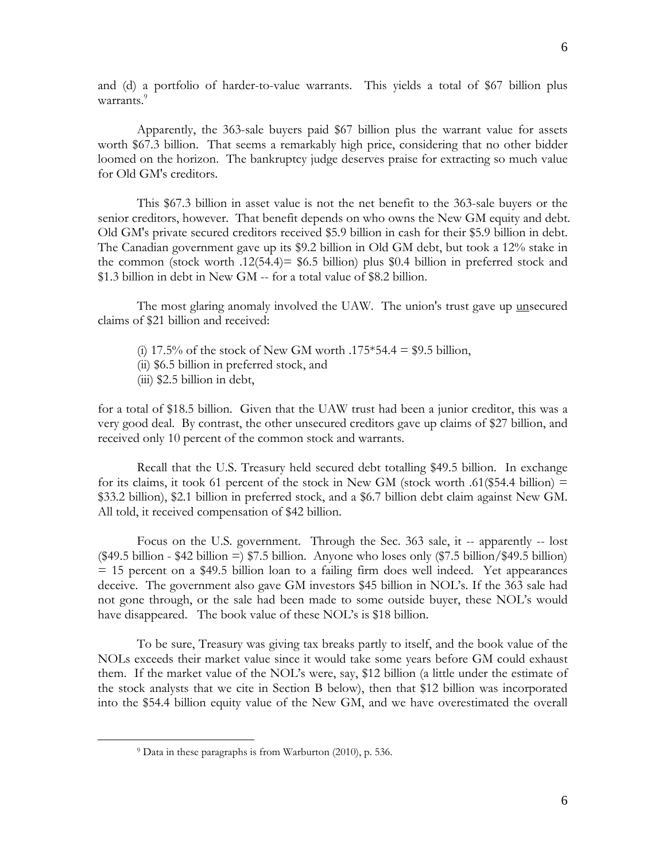and (d) a portfolio of harder-to-value warrants. This yields a total of \$67 billion plus warrants.<sup>9</sup>

 Apparently, the 363-sale buyers paid \$67 billion plus the warrant value for assets worth \$67.3 billion. That seems a remarkably high price, considering that no other bidder loomed on the horizon. The bankruptcy judge deserves praise for extracting so much value for Old GM's creditors.

 This \$67.3 billion in asset value is not the net benefit to the 363-sale buyers or the senior creditors, however. That benefit depends on who owns the New GM equity and debt. Old GM's private secured creditors received \$5.9 billion in cash for their \$5.9 billion in debt. The Canadian government gave up its \$9.2 billion in Old GM debt, but took a 12% stake in the common (stock worth .12(54.4)=  $$6.5$  billion) plus \$0.4 billion in preferred stock and \$1.3 billion in debt in New GM -- for a total value of \$8.2 billion.

 The most glaring anomaly involved the UAW. The union's trust gave up unsecured claims of \$21 billion and received:

- (i) 17.5% of the stock of New GM worth .175 $*54.4 = $9.5$  billion,
- (ii) \$6.5 billion in preferred stock, and
- (iii) \$2.5 billion in debt,

1

for a total of \$18.5 billion. Given that the UAW trust had been a junior creditor, this was a very good deal. By contrast, the other unsecured creditors gave up claims of \$27 billion, and received only 10 percent of the common stock and warrants.

 Recall that the U.S. Treasury held secured debt totalling \$49.5 billion. In exchange for its claims, it took 61 percent of the stock in New GM (stock worth .61(\$54.4 billion)  $=$ \$33.2 billion), \$2.1 billion in preferred stock, and a \$6.7 billion debt claim against New GM. All told, it received compensation of \$42 billion.

 Focus on the U.S. government. Through the Sec. 363 sale, it -- apparently -- lost (\$49.5 billion - \$42 billion =) \$7.5 billion. Anyone who loses only (\$7.5 billion/\$49.5 billion) = 15 percent on a \$49.5 billion loan to a failing firm does well indeed. Yet appearances deceive. The government also gave GM investors \$45 billion in NOL's. If the 363 sale had not gone through, or the sale had been made to some outside buyer, these NOL's would have disappeared. The book value of these NOL's is \$18 billion.

 To be sure, Treasury was giving tax breaks partly to itself, and the book value of the NOLs exceeds their market value since it would take some years before GM could exhaust them. If the market value of the NOL's were, say, \$12 billion (a little under the estimate of the stock analysts that we cite in Section B below), then that \$12 billion was incorporated into the \$54.4 billion equity value of the New GM, and we have overestimated the overall

<sup>9</sup> Data in these paragraphs is from Warburton (2010), p. 536.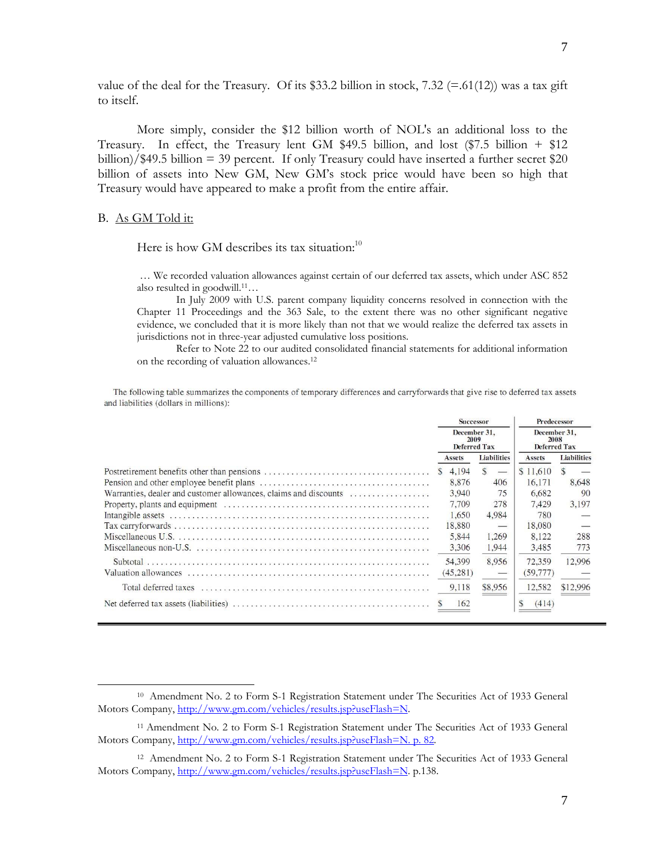value of the deal for the Treasury. Of its \$33.2 billion in stock,  $7.32 (=61(12))$  was a tax gift to itself.

 More simply, consider the \$12 billion worth of NOL's an additional loss to the Treasury. In effect, the Treasury lent GM \$49.5 billion, and lost (\$7.5 billion + \$12 billion)/\$49.5 billion = 39 percent. If only Treasury could have inserted a further secret \$20 billion of assets into New GM, New GM's stock price would have been so high that Treasury would have appeared to make a profit from the entire affair.

## B. As GM Told it:

 $\overline{a}$ 

Here is how GM describes its tax situation: $10$ 

 … We recorded valuation allowances against certain of our deferred tax assets, which under ASC 852 also resulted in goodwill.11…

 In July 2009 with U.S. parent company liquidity concerns resolved in connection with the Chapter 11 Proceedings and the 363 Sale, to the extent there was no other significant negative evidence, we concluded that it is more likely than not that we would realize the deferred tax assets in jurisdictions not in three-year adjusted cumulative loss positions.

 Refer to Note 22 to our audited consolidated financial statements for additional information on the recording of valuation allowances.12

The following table summarizes the components of temporary differences and carryforwards that give rise to deferred tax assets and liabilities (dollars in millions):

|                                                                  | <b>Successor</b>                     |           |                              | Predecessor                                 |           |                    |          |
|------------------------------------------------------------------|--------------------------------------|-----------|------------------------------|---------------------------------------------|-----------|--------------------|----------|
|                                                                  | December 31.<br>2009<br>Deferred Tax |           |                              | December 31.<br>2008<br><b>Deferred Tax</b> |           |                    |          |
|                                                                  | Assets                               |           | <b>Liabilities</b><br>Assets |                                             |           | <b>Liabilities</b> |          |
|                                                                  | S                                    | 4.194     | $\mathcal{S}$                |                                             | \$11,610  |                    |          |
|                                                                  |                                      | 8.876     |                              | 406                                         | 16.171    |                    | 8.648    |
| Warranties, dealer and customer allowances, claims and discounts |                                      | 3,940     |                              | 75                                          | 6.682     |                    | 90       |
|                                                                  |                                      | 7.709     |                              | 278                                         | 7.429     |                    | 3.197    |
|                                                                  |                                      | 1.650     |                              | 4.984                                       | 780       |                    |          |
|                                                                  |                                      | 18,880    |                              |                                             | 18,080    |                    |          |
|                                                                  |                                      | 5.844     |                              | 1,269                                       | 8.122     |                    | 288      |
|                                                                  |                                      | 3,306     |                              | 1,944                                       | 3,485     |                    | 773      |
|                                                                  |                                      | 54,399    |                              | 8.956                                       | 72.359    |                    | 12,996   |
|                                                                  |                                      | (45, 281) |                              |                                             | (59, 777) |                    |          |
|                                                                  |                                      | 9.118     |                              | \$8,956                                     | 12.582    |                    | \$12,996 |
|                                                                  |                                      | 162       |                              |                                             | (414)     |                    |          |

<sup>10</sup> Amendment No. 2 to Form S-1 Registration Statement under The Securities Act of 1933 General Motors Company, http://www.gm.com/vehicles/results.jsp?useFlash=N.

<sup>&</sup>lt;sup>11</sup> Amendment No. 2 to Form S-1 Registration Statement under The Securities Act of 1933 General Motors Company, http://www.gm.com/vehicles/results.jsp?useFlash=N. p. 82.

<sup>&</sup>lt;sup>12</sup> Amendment No. 2 to Form S-1 Registration Statement under The Securities Act of 1933 General Motors Company, http://www.gm.com/vehicles/results.jsp?useFlash=N. p.138.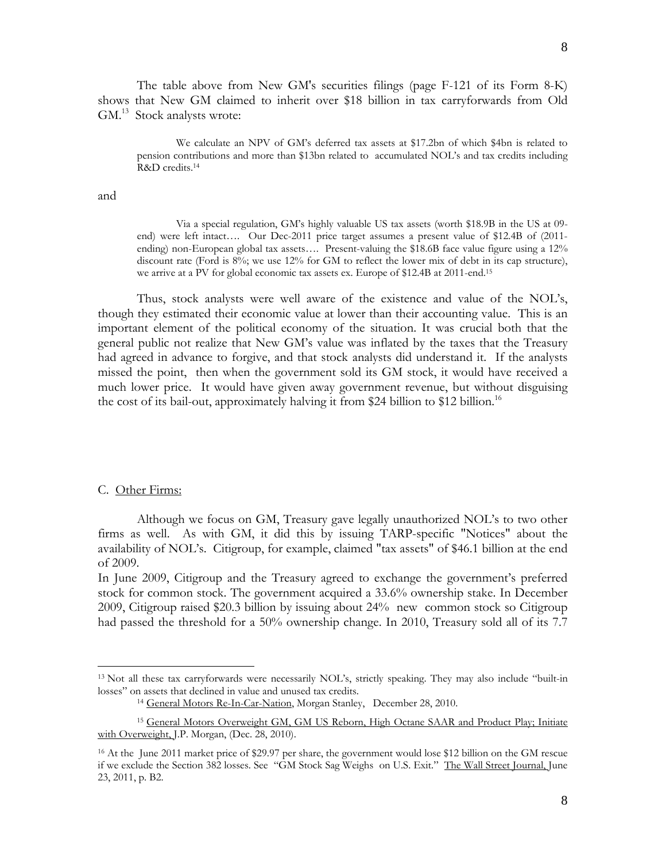The table above from New GM's securities filings (page F-121 of its Form 8-K) shows that New GM claimed to inherit over \$18 billion in tax carryforwards from Old GM.<sup>13</sup> Stock analysts wrote:

We calculate an NPV of GM's deferred tax assets at \$17.2bn of which \$4bn is related to pension contributions and more than \$13bn related to accumulated NOL's and tax credits including R&D credits.<sup>14</sup>

and

Via a special regulation, GM's highly valuable US tax assets (worth \$18.9B in the US at 09 end) were left intact…. Our Dec-2011 price target assumes a present value of \$12.4B of (2011 ending) non-European global tax assets…. Present-valuing the \$18.6B face value figure using a 12% discount rate (Ford is 8%; we use 12% for GM to reflect the lower mix of debt in its cap structure), we arrive at a PV for global economic tax assets ex. Europe of \$12.4B at 2011-end.15

 Thus, stock analysts were well aware of the existence and value of the NOL's, though they estimated their economic value at lower than their accounting value. This is an important element of the political economy of the situation. It was crucial both that the general public not realize that New GM's value was inflated by the taxes that the Treasury had agreed in advance to forgive, and that stock analysts did understand it. If the analysts missed the point, then when the government sold its GM stock, it would have received a much lower price. It would have given away government revenue, but without disguising the cost of its bail-out, approximately halving it from \$24 billion to \$12 billion.<sup>16</sup>

# C. Other Firms:

1

Although we focus on GM, Treasury gave legally unauthorized NOL's to two other firms as well. As with GM, it did this by issuing TARP-specific "Notices" about the availability of NOL's. Citigroup, for example, claimed "tax assets" of \$46.1 billion at the end of 2009.

In June 2009, Citigroup and the Treasury agreed to exchange the government's preferred stock for common stock. The government acquired a 33.6% ownership stake. In December 2009, Citigroup raised \$20.3 billion by issuing about 24% new common stock so Citigroup had passed the threshold for a 50% ownership change. In 2010, Treasury sold all of its 7.7

<sup>13</sup> Not all these tax carryforwards were necessarily NOL's, strictly speaking. They may also include "built-in losses" on assets that declined in value and unused tax credits.<br><sup>14</sup> General Motors Re-In-Car-Nation, Morgan Stanley, December 28, 2010.

<sup>15</sup> General Motors Overweight GM, GM US Reborn, High Octane SAAR and Product Play; Initiate with Overweight, J.P. Morgan, (Dec. 28, 2010).

<sup>16</sup> At the June 2011 market price of \$29.97 per share, the government would lose \$12 billion on the GM rescue if we exclude the Section 382 losses. See "GM Stock Sag Weighs on U.S. Exit." The Wall Street Journal, June 23, 2011, p. B2.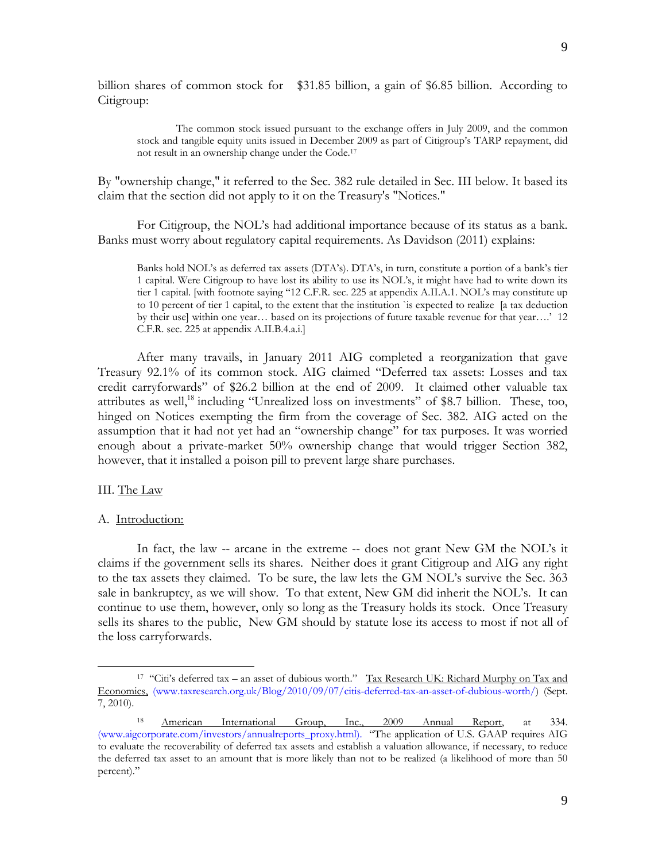billion shares of common stock for \$31.85 billion, a gain of \$6.85 billion. According to Citigroup:

 The common stock issued pursuant to the exchange offers in July 2009, and the common stock and tangible equity units issued in December 2009 as part of Citigroup's TARP repayment, did not result in an ownership change under the Code.17

By "ownership change," it referred to the Sec. 382 rule detailed in Sec. III below. It based its claim that the section did not apply to it on the Treasury's "Notices."

 For Citigroup, the NOL's had additional importance because of its status as a bank. Banks must worry about regulatory capital requirements. As Davidson (2011) explains:

Banks hold NOL's as deferred tax assets (DTA's). DTA's, in turn, constitute a portion of a bank's tier 1 capital. Were Citigroup to have lost its ability to use its NOL's, it might have had to write down its tier 1 capital. [with footnote saying "12 C.F.R. sec. 225 at appendix A.II.A.1. NOL's may constitute up to 10 percent of tier 1 capital, to the extent that the institution `is expected to realize [a tax deduction by their use] within one year… based on its projections of future taxable revenue for that year….' 12 C.F.R. sec. 225 at appendix A.II.B.4.a.i.]

 After many travails, in January 2011 AIG completed a reorganization that gave Treasury 92.1% of its common stock. AIG claimed "Deferred tax assets: Losses and tax credit carryforwards" of \$26.2 billion at the end of 2009. It claimed other valuable tax attributes as well,<sup>18</sup> including "Unrealized loss on investments" of \$8.7 billion. These, too, hinged on Notices exempting the firm from the coverage of Sec. 382. AIG acted on the assumption that it had not yet had an "ownership change" for tax purposes. It was worried enough about a private-market 50% ownership change that would trigger Section 382, however, that it installed a poison pill to prevent large share purchases.

# III. The Law

1

## A. Introduction:

 In fact, the law -- arcane in the extreme -- does not grant New GM the NOL's it claims if the government sells its shares. Neither does it grant Citigroup and AIG any right to the tax assets they claimed. To be sure, the law lets the GM NOL's survive the Sec. 363 sale in bankruptcy, as we will show. To that extent, New GM did inherit the NOL's. It can continue to use them, however, only so long as the Treasury holds its stock. Once Treasury sells its shares to the public, New GM should by statute lose its access to most if not all of the loss carryforwards.

<sup>&</sup>lt;sup>17</sup> "Citi's deferred tax – an asset of dubious worth." Tax Research UK: Richard Murphy on Tax and Economics, (www.taxresearch.org.uk/Blog/2010/09/07/citis-deferred-tax-an-asset-of-dubious-worth/) (Sept. 7, 2010).

<sup>18</sup> American International Group, Inc., 2009 Annual Report, at 334. (www.aigcorporate.com/investors/annualreports\_proxy.html). "The application of U.S. GAAP requires AIG to evaluate the recoverability of deferred tax assets and establish a valuation allowance, if necessary, to reduce the deferred tax asset to an amount that is more likely than not to be realized (a likelihood of more than 50 percent)."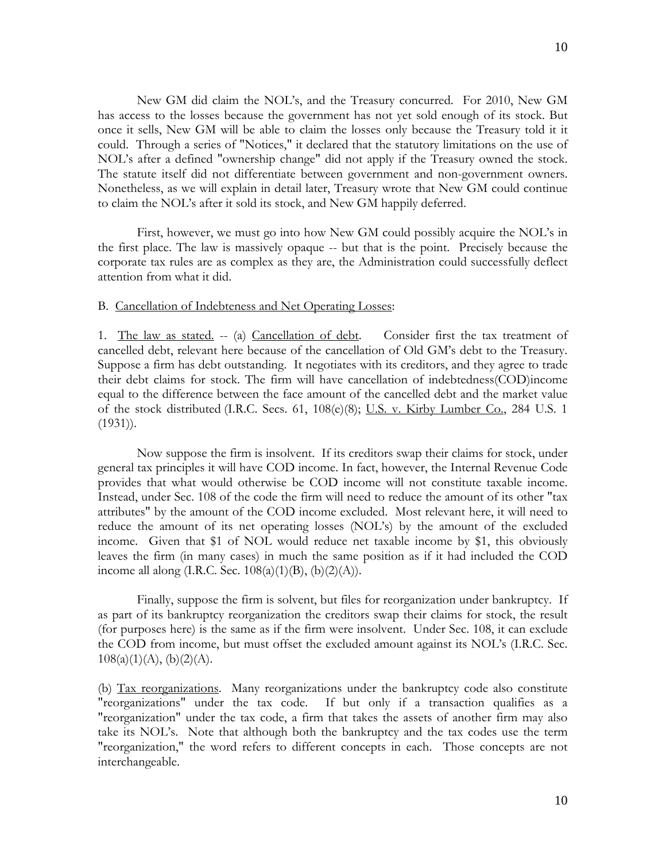New GM did claim the NOL's, and the Treasury concurred. For 2010, New GM has access to the losses because the government has not yet sold enough of its stock. But once it sells, New GM will be able to claim the losses only because the Treasury told it it could. Through a series of "Notices," it declared that the statutory limitations on the use of NOL's after a defined "ownership change" did not apply if the Treasury owned the stock. The statute itself did not differentiate between government and non-government owners. Nonetheless, as we will explain in detail later, Treasury wrote that New GM could continue to claim the NOL's after it sold its stock, and New GM happily deferred.

 First, however, we must go into how New GM could possibly acquire the NOL's in the first place. The law is massively opaque -- but that is the point. Precisely because the corporate tax rules are as complex as they are, the Administration could successfully deflect attention from what it did.

# B. Cancellation of Indebteness and Net Operating Losses:

1. The law as stated. -- (a) Cancellation of debt. Consider first the tax treatment of cancelled debt, relevant here because of the cancellation of Old GM's debt to the Treasury. Suppose a firm has debt outstanding. It negotiates with its creditors, and they agree to trade their debt claims for stock. The firm will have cancellation of indebtedness(COD)income equal to the difference between the face amount of the cancelled debt and the market value of the stock distributed (I.R.C. Secs. 61, 108(e)(8); U.S. v. Kirby Lumber Co., 284 U.S. 1 (1931)).

 Now suppose the firm is insolvent. If its creditors swap their claims for stock, under general tax principles it will have COD income. In fact, however, the Internal Revenue Code provides that what would otherwise be COD income will not constitute taxable income. Instead, under Sec. 108 of the code the firm will need to reduce the amount of its other "tax attributes" by the amount of the COD income excluded. Most relevant here, it will need to reduce the amount of its net operating losses (NOL's) by the amount of the excluded income. Given that \$1 of NOL would reduce net taxable income by \$1, this obviously leaves the firm (in many cases) in much the same position as if it had included the COD income all along (I.R.C. Sec.  $108(a)(1)(B)$ ,  $(b)(2)(A)$ ).

 Finally, suppose the firm is solvent, but files for reorganization under bankruptcy. If as part of its bankruptcy reorganization the creditors swap their claims for stock, the result (for purposes here) is the same as if the firm were insolvent. Under Sec. 108, it can exclude the COD from income, but must offset the excluded amount against its NOL's (I.R.C. Sec.  $108(a)(1)(A), (b)(2)(A).$ 

(b) Tax reorganizations. Many reorganizations under the bankruptcy code also constitute "reorganizations" under the tax code. If but only if a transaction qualifies as a "reorganization" under the tax code, a firm that takes the assets of another firm may also take its NOL's. Note that although both the bankruptcy and the tax codes use the term "reorganization," the word refers to different concepts in each. Those concepts are not interchangeable.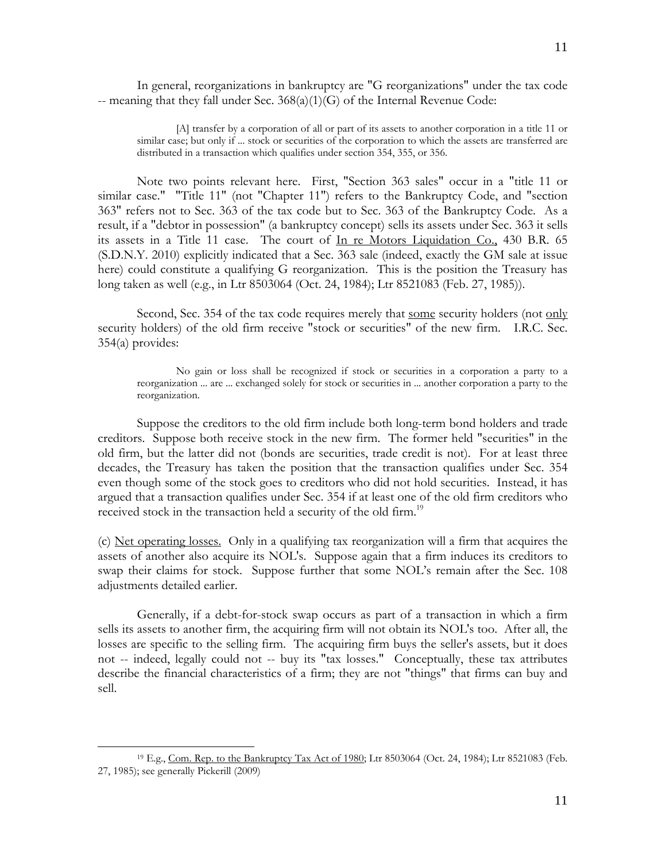In general, reorganizations in bankruptcy are "G reorganizations" under the tax code -- meaning that they fall under Sec. 368(a)(1)(G) of the Internal Revenue Code:

[A] transfer by a corporation of all or part of its assets to another corporation in a title 11 or similar case; but only if ... stock or securities of the corporation to which the assets are transferred are distributed in a transaction which qualifies under section 354, 355, or 356.

 Note two points relevant here. First, "Section 363 sales" occur in a "title 11 or similar case." "Title 11" (not "Chapter 11") refers to the Bankruptcy Code, and "section 363" refers not to Sec. 363 of the tax code but to Sec. 363 of the Bankruptcy Code. As a result, if a "debtor in possession" (a bankruptcy concept) sells its assets under Sec. 363 it sells its assets in a Title 11 case. The court of In re Motors Liquidation Co., 430 B.R. 65 (S.D.N.Y. 2010) explicitly indicated that a Sec. 363 sale (indeed, exactly the GM sale at issue here) could constitute a qualifying G reorganization. This is the position the Treasury has long taken as well (e.g., in Ltr 8503064 (Oct. 24, 1984); Ltr 8521083 (Feb. 27, 1985)).

Second, Sec. 354 of the tax code requires merely that some security holders (not only security holders) of the old firm receive "stock or securities" of the new firm. I.R.C. Sec. 354(a) provides:

 No gain or loss shall be recognized if stock or securities in a corporation a party to a reorganization ... are ... exchanged solely for stock or securities in ... another corporation a party to the reorganization.

 Suppose the creditors to the old firm include both long-term bond holders and trade creditors. Suppose both receive stock in the new firm. The former held "securities" in the old firm, but the latter did not (bonds are securities, trade credit is not). For at least three decades, the Treasury has taken the position that the transaction qualifies under Sec. 354 even though some of the stock goes to creditors who did not hold securities. Instead, it has argued that a transaction qualifies under Sec. 354 if at least one of the old firm creditors who received stock in the transaction held a security of the old firm.<sup>19</sup>

(c) Net operating losses. Only in a qualifying tax reorganization will a firm that acquires the assets of another also acquire its NOL's. Suppose again that a firm induces its creditors to swap their claims for stock. Suppose further that some NOL's remain after the Sec. 108 adjustments detailed earlier.

 Generally, if a debt-for-stock swap occurs as part of a transaction in which a firm sells its assets to another firm, the acquiring firm will not obtain its NOL's too. After all, the losses are specific to the selling firm. The acquiring firm buys the seller's assets, but it does not -- indeed, legally could not -- buy its "tax losses." Conceptually, these tax attributes describe the financial characteristics of a firm; they are not "things" that firms can buy and sell.

1

<sup>&</sup>lt;sup>19</sup> E.g., Com. Rep. to the Bankruptcy Tax Act of 1980; Ltr 8503064 (Oct. 24, 1984); Ltr 8521083 (Feb. 27, 1985); see generally Pickerill (2009)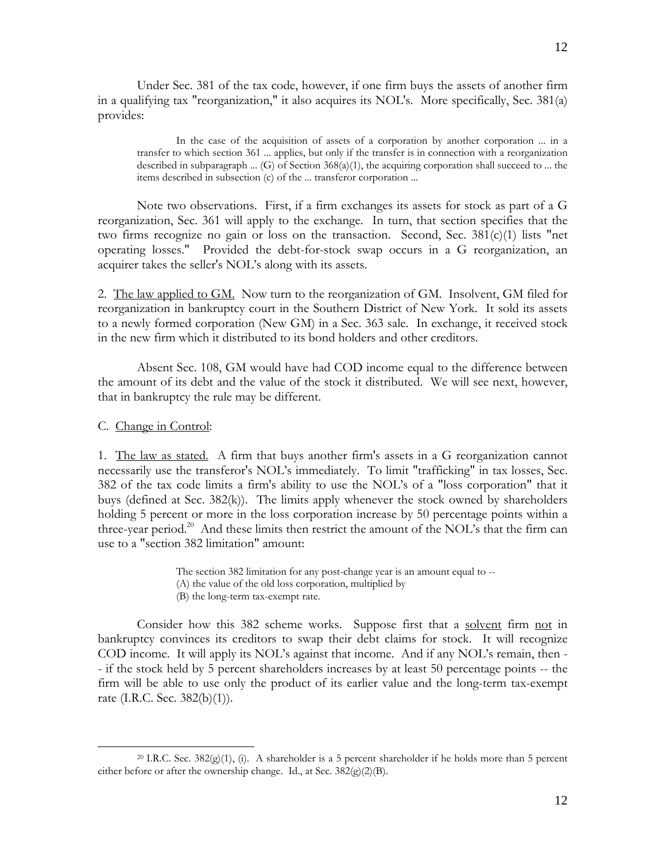Under Sec. 381 of the tax code, however, if one firm buys the assets of another firm in a qualifying tax "reorganization," it also acquires its NOL's. More specifically, Sec. 381(a) provides:

 In the case of the acquisition of assets of a corporation by another corporation ... in a transfer to which section 361 ... applies, but only if the transfer is in connection with a reorganization described in subparagraph  $\dots$  (G) of Section 368(a)(1), the acquiring corporation shall succeed to  $\dots$  the items described in subsection (c) of the ... transferor corporation ...

 Note two observations. First, if a firm exchanges its assets for stock as part of a G reorganization, Sec. 361 will apply to the exchange. In turn, that section specifies that the two firms recognize no gain or loss on the transaction. Second, Sec.  $381(c)(1)$  lists "net operating losses." Provided the debt-for-stock swap occurs in a G reorganization, an acquirer takes the seller's NOL's along with its assets.

2. The law applied to GM. Now turn to the reorganization of GM. Insolvent, GM filed for reorganization in bankruptcy court in the Southern District of New York. It sold its assets to a newly formed corporation (New GM) in a Sec. 363 sale. In exchange, it received stock in the new firm which it distributed to its bond holders and other creditors.

 Absent Sec. 108, GM would have had COD income equal to the difference between the amount of its debt and the value of the stock it distributed. We will see next, however, that in bankruptcy the rule may be different.

C. Change in Control:

1

1. The law as stated. A firm that buys another firm's assets in a G reorganization cannot necessarily use the transferor's NOL's immediately. To limit "trafficking" in tax losses, Sec. 382 of the tax code limits a firm's ability to use the NOL's of a "loss corporation" that it buys (defined at Sec. 382(k)). The limits apply whenever the stock owned by shareholders holding 5 percent or more in the loss corporation increase by 50 percentage points within a three-year period.<sup>20</sup> And these limits then restrict the amount of the NOL's that the firm can use to a "section 382 limitation" amount:

The section 382 limitation for any post-change year is an amount equal to --

- (A) the value of the old loss corporation, multiplied by
- (B) the long-term tax-exempt rate.

Consider how this 382 scheme works. Suppose first that a solvent firm not in bankruptcy convinces its creditors to swap their debt claims for stock. It will recognize COD income. It will apply its NOL's against that income. And if any NOL's remain, then - - if the stock held by 5 percent shareholders increases by at least 50 percentage points -- the firm will be able to use only the product of its earlier value and the long-term tax-exempt rate (I.R.C. Sec. 382(b)(1)).

<sup>&</sup>lt;sup>20</sup> I.R.C. Sec. 382(g)(1), (i). A shareholder is a 5 percent shareholder if he holds more than 5 percent either before or after the ownership change. Id., at Sec. 382(g)(2)(B).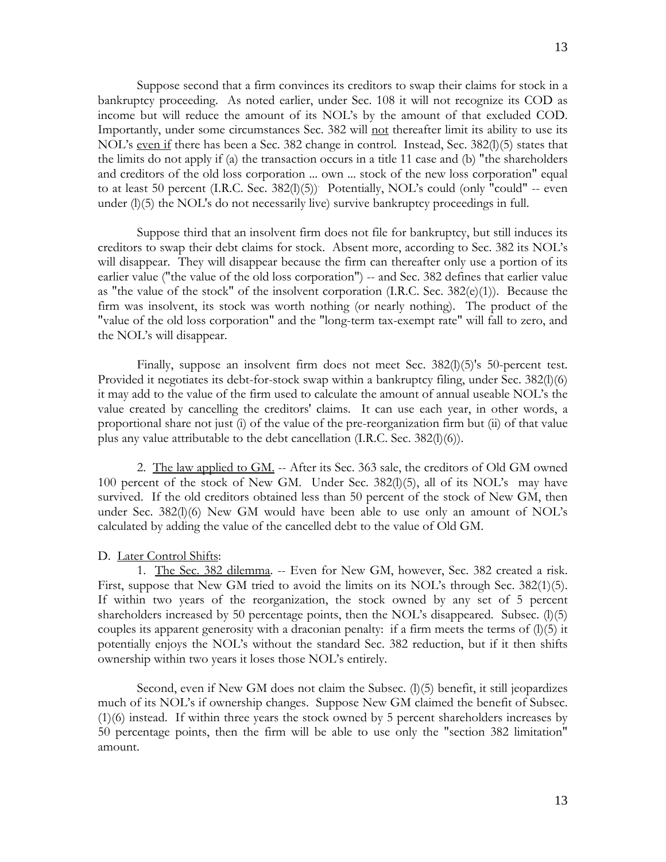Suppose second that a firm convinces its creditors to swap their claims for stock in a bankruptcy proceeding. As noted earlier, under Sec. 108 it will not recognize its COD as income but will reduce the amount of its NOL's by the amount of that excluded COD. Importantly, under some circumstances Sec. 382 will not thereafter limit its ability to use its NOL's even if there has been a Sec. 382 change in control. Instead, Sec. 382(l)(5) states that the limits do not apply if (a) the transaction occurs in a title 11 case and (b) "the shareholders and creditors of the old loss corporation ... own ... stock of the new loss corporation" equal to at least 50 percent (I.R.C. Sec. 382(l)(5)) Potentially, NOL's could (only "could" -- even under (l)(5) the NOL's do not necessarily live) survive bankruptcy proceedings in full.

 Suppose third that an insolvent firm does not file for bankruptcy, but still induces its creditors to swap their debt claims for stock. Absent more, according to Sec. 382 its NOL's will disappear. They will disappear because the firm can thereafter only use a portion of its earlier value ("the value of the old loss corporation") -- and Sec. 382 defines that earlier value as "the value of the stock" of the insolvent corporation  $(I.R.C.$  Sec.  $382(e)(1))$ . Because the firm was insolvent, its stock was worth nothing (or nearly nothing). The product of the "value of the old loss corporation" and the "long-term tax-exempt rate" will fall to zero, and the NOL's will disappear.

Finally, suppose an insolvent firm does not meet Sec. 382(1)(5)'s 50-percent test. Provided it negotiates its debt-for-stock swap within a bankruptcy filing, under Sec. 382(l)(6) it may add to the value of the firm used to calculate the amount of annual useable NOL's the value created by cancelling the creditors' claims. It can use each year, in other words, a proportional share not just (i) of the value of the pre-reorganization firm but (ii) of that value plus any value attributable to the debt cancellation (I.R.C. Sec. 382(l)(6)).

 2. The law applied to GM. -- After its Sec. 363 sale, the creditors of Old GM owned 100 percent of the stock of New GM. Under Sec. 382(l)(5), all of its NOL's may have survived. If the old creditors obtained less than 50 percent of the stock of New GM, then under Sec. 382(l)(6) New GM would have been able to use only an amount of NOL's calculated by adding the value of the cancelled debt to the value of Old GM.

# D. Later Control Shifts:

 1. The Sec. 382 dilemma. -- Even for New GM, however, Sec. 382 created a risk. First, suppose that New GM tried to avoid the limits on its NOL's through Sec. 382(1)(5). If within two years of the reorganization, the stock owned by any set of 5 percent shareholders increased by 50 percentage points, then the NOL's disappeared. Subsec.  $(l)(5)$ couples its apparent generosity with a draconian penalty: if a firm meets the terms of  $(1)(5)$  it potentially enjoys the NOL's without the standard Sec. 382 reduction, but if it then shifts ownership within two years it loses those NOL's entirely.

Second, even if New GM does not claim the Subsec. (1)(5) benefit, it still jeopardizes much of its NOL's if ownership changes. Suppose New GM claimed the benefit of Subsec. (1)(6) instead. If within three years the stock owned by 5 percent shareholders increases by 50 percentage points, then the firm will be able to use only the "section 382 limitation" amount.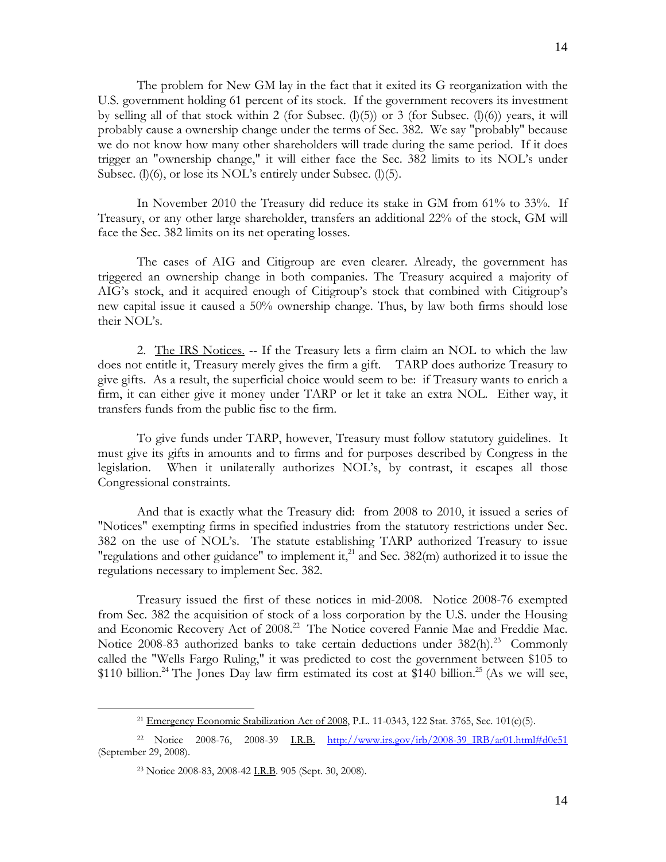The problem for New GM lay in the fact that it exited its G reorganization with the U.S. government holding 61 percent of its stock. If the government recovers its investment by selling all of that stock within 2 (for Subsec.  $(l)(5)$ ) or 3 (for Subsec.  $(l)(6)$ ) years, it will probably cause a ownership change under the terms of Sec. 382. We say "probably" because we do not know how many other shareholders will trade during the same period. If it does trigger an "ownership change," it will either face the Sec. 382 limits to its NOL's under Subsec. (l)(6), or lose its NOL's entirely under Subsec. (l)(5).

 In November 2010 the Treasury did reduce its stake in GM from 61% to 33%. If Treasury, or any other large shareholder, transfers an additional 22% of the stock, GM will face the Sec. 382 limits on its net operating losses.

 The cases of AIG and Citigroup are even clearer. Already, the government has triggered an ownership change in both companies. The Treasury acquired a majority of AIG's stock, and it acquired enough of Citigroup's stock that combined with Citigroup's new capital issue it caused a 50% ownership change. Thus, by law both firms should lose their NOL's.

 2. The IRS Notices. -- If the Treasury lets a firm claim an NOL to which the law does not entitle it, Treasury merely gives the firm a gift. TARP does authorize Treasury to give gifts. As a result, the superficial choice would seem to be: if Treasury wants to enrich a firm, it can either give it money under TARP or let it take an extra NOL. Either way, it transfers funds from the public fisc to the firm.

 To give funds under TARP, however, Treasury must follow statutory guidelines. It must give its gifts in amounts and to firms and for purposes described by Congress in the legislation. When it unilaterally authorizes NOL's, by contrast, it escapes all those Congressional constraints.

 And that is exactly what the Treasury did: from 2008 to 2010, it issued a series of "Notices" exempting firms in specified industries from the statutory restrictions under Sec. 382 on the use of NOL's. The statute establishing TARP authorized Treasury to issue "regulations and other guidance" to implement it,<sup>21</sup> and Sec. 382(m) authorized it to issue the regulations necessary to implement Sec. 382.

 Treasury issued the first of these notices in mid-2008. Notice 2008-76 exempted from Sec. 382 the acquisition of stock of a loss corporation by the U.S. under the Housing and Economic Recovery Act of 2008.<sup>22</sup> The Notice covered Fannie Mae and Freddie Mac. Notice 2008-83 authorized banks to take certain deductions under 382(h).<sup>23</sup> Commonly called the "Wells Fargo Ruling," it was predicted to cost the government between \$105 to \$110 billion.<sup>24</sup> The Jones Day law firm estimated its cost at \$140 billion.<sup>25</sup> (As we will see,

 $\overline{a}$ 

<sup>&</sup>lt;sup>21</sup> Emergency Economic Stabilization Act of 2008, P.L. 11-0343, 122 Stat. 3765, Sec. 101(c)(5).

<sup>22</sup> Notice 2008-76, 2008-39 I.R.B. http://www.irs.gov/irb/2008-39\_IRB/ar01.html#d0e51 (September 29, 2008).

<sup>23</sup> Notice 2008-83, 2008-42 I.R.B. 905 (Sept. 30, 2008).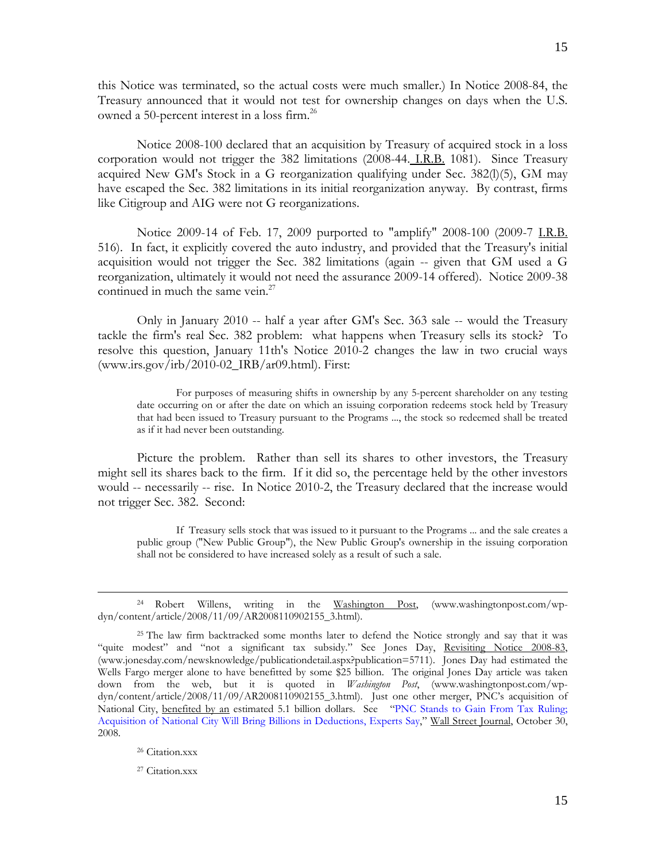this Notice was terminated, so the actual costs were much smaller.) In Notice 2008-84, the Treasury announced that it would not test for ownership changes on days when the U.S. owned a 50-percent interest in a loss firm.<sup>26</sup>

 Notice 2008-100 declared that an acquisition by Treasury of acquired stock in a loss corporation would not trigger the 382 limitations (2008-44. I.R.B. 1081). Since Treasury acquired New GM's Stock in a G reorganization qualifying under Sec. 382(l)(5), GM may have escaped the Sec. 382 limitations in its initial reorganization anyway. By contrast, firms like Citigroup and AIG were not G reorganizations.

Notice 2009-14 of Feb. 17, 2009 purported to "amplify" 2008-100 (2009-7 I.R.B. 516). In fact, it explicitly covered the auto industry, and provided that the Treasury's initial acquisition would not trigger the Sec. 382 limitations (again -- given that GM used a G reorganization, ultimately it would not need the assurance 2009-14 offered). Notice 2009-38 continued in much the same vein.<sup>27</sup>

 Only in January 2010 -- half a year after GM's Sec. 363 sale -- would the Treasury tackle the firm's real Sec. 382 problem: what happens when Treasury sells its stock? To resolve this question, January 11th's Notice 2010-2 changes the law in two crucial ways (www.irs.gov/irb/2010-02\_IRB/ar09.html). First:

 For purposes of measuring shifts in ownership by any 5-percent shareholder on any testing date occurring on or after the date on which an issuing corporation redeems stock held by Treasury that had been issued to Treasury pursuant to the Programs ..., the stock so redeemed shall be treated as if it had never been outstanding.

 Picture the problem. Rather than sell its shares to other investors, the Treasury might sell its shares back to the firm. If it did so, the percentage held by the other investors would -- necessarily -- rise. In Notice 2010-2, the Treasury declared that the increase would not trigger Sec. 382. Second:

 If Treasury sells stock that was issued to it pursuant to the Programs ... and the sale creates a public group ("New Public Group"), the New Public Group's ownership in the issuing corporation shall not be considered to have increased solely as a result of such a sale.

 $\overline{a}$ 

27 Citation.xxx

<sup>24</sup> Robert Willens, writing in the Washington Post, (www.washingtonpost.com/wpdyn/content/article/2008/11/09/AR2008110902155\_3.html).

<sup>&</sup>lt;sup>25</sup> The law firm backtracked some months later to defend the Notice strongly and say that it was "quite modest" and "not a significant tax subsidy." See Jones Day, Revisiting Notice 2008-83, (www.jonesday.com/newsknowledge/publicationdetail.aspx?publication=5711). Jones Day had estimated the Wells Fargo merger alone to have benefitted by some \$25 billion. The original Jones Day article was taken down from the web, but it is quoted in *Washington Post*, (www.washingtonpost.com/wpdyn/content/article/2008/11/09/AR2008110902155\_3.html). Just one other merger, PNC's acquisition of National City, benefited by an estimated 5.1 billion dollars. See "PNC Stands to Gain From Tax Ruling; Acquisition of National City Will Bring Billions in Deductions, Experts Say," Wall Street Journal, October 30, 2008.

<sup>26</sup> Citation.xxx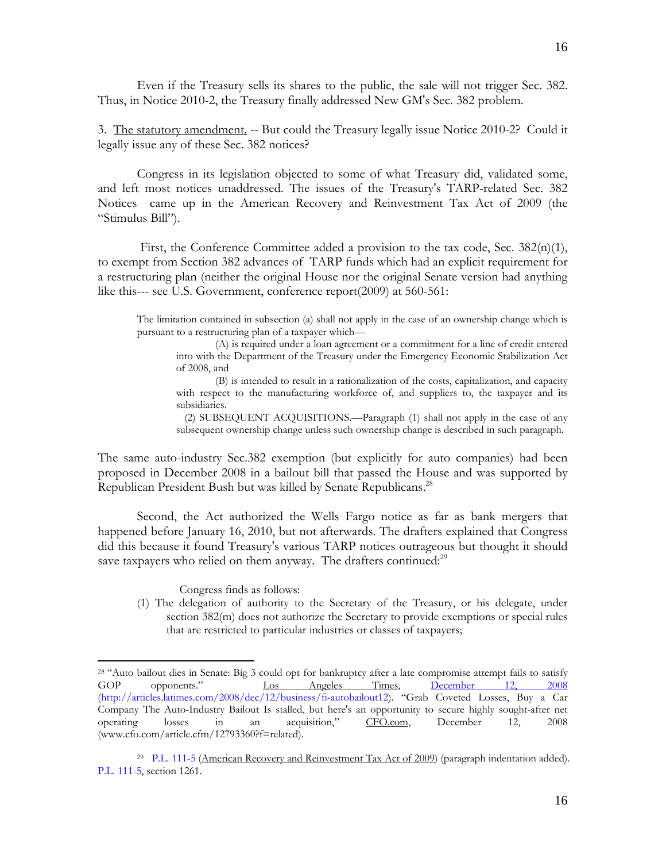Even if the Treasury sells its shares to the public, the sale will not trigger Sec. 382. Thus, in Notice 2010-2, the Treasury finally addressed New GM's Sec. 382 problem.

3. The statutory amendment. -- But could the Treasury legally issue Notice 2010-2? Could it legally issue any of these Sec. 382 notices?

 Congress in its legislation objected to some of what Treasury did, validated some, and left most notices unaddressed. The issues of the Treasury's TARP-related Sec. 382 Notices came up in the American Recovery and Reinvestment Tax Act of 2009 (the "Stimulus Bill").

 First, the Conference Committee added a provision to the tax code, Sec. 382(n)(1), to exempt from Section 382 advances of TARP funds which had an explicit requirement for a restructuring plan (neither the original House nor the original Senate version had anything like this--- see U.S. Government, conference report(2009) at 560-561:

The limitation contained in subsection (a) shall not apply in the case of an ownership change which is pursuant to a restructuring plan of a taxpayer which—

 (A) is required under a loan agreement or a commitment for a line of credit entered into with the Department of the Treasury under the Emergency Economic Stabilization Act of 2008, and

(B) is intended to result in a rationalization of the costs, capitalization, and capacity with respect to the manufacturing workforce of, and suppliers to, the taxpayer and its subsidiaries.

 (2) SUBSEQUENT ACQUISITIONS.—Paragraph (1) shall not apply in the case of any subsequent ownership change unless such ownership change is described in such paragraph.

The same auto-industry Sec.382 exemption (but explicitly for auto companies) had been proposed in December 2008 in a bailout bill that passed the House and was supported by Republican President Bush but was killed by Senate Republicans.<sup>28</sup>

 Second, the Act authorized the Wells Fargo notice as far as bank mergers that happened before January 16, 2010, but not afterwards. The drafters explained that Congress did this because it found Treasury's various TARP notices outrageous but thought it should save taxpayers who relied on them anyway. The drafters continued: $^{29}$ 

Congress finds as follows:

 $\overline{a}$ 

(1) The delegation of authority to the Secretary of the Treasury, or his delegate, under section 382(m) does not authorize the Secretary to provide exemptions or special rules that are restricted to particular industries or classes of taxpayers;

<sup>&</sup>lt;sup>28</sup> "Auto bailout dies in Senate: Big 3 could opt for bankruptcy after a late compromise attempt fails to satisfy<br>GOP opponents." <u>Los Angeles Times, December 12, 2008</u> GOP opponents." Los Angeles Times, December 12, (http://articles.latimes.com/2008/dec/12/business/fi-autobailout12). "Grab Coveted Losses, Buy a Car Company The Auto-Industry Bailout Is stalled, but here's an opportunity to secure highly sought-after net operating losses in an acquisition," CFO.com, December 12, 2008 (www.cfo.com/article.cfm/12793360?f=related).

<sup>29</sup> P.L. 111-5 (American Recovery and Reinvestment Tax Act of 2009) (paragraph indentation added). P.L. 111-5, section 1261.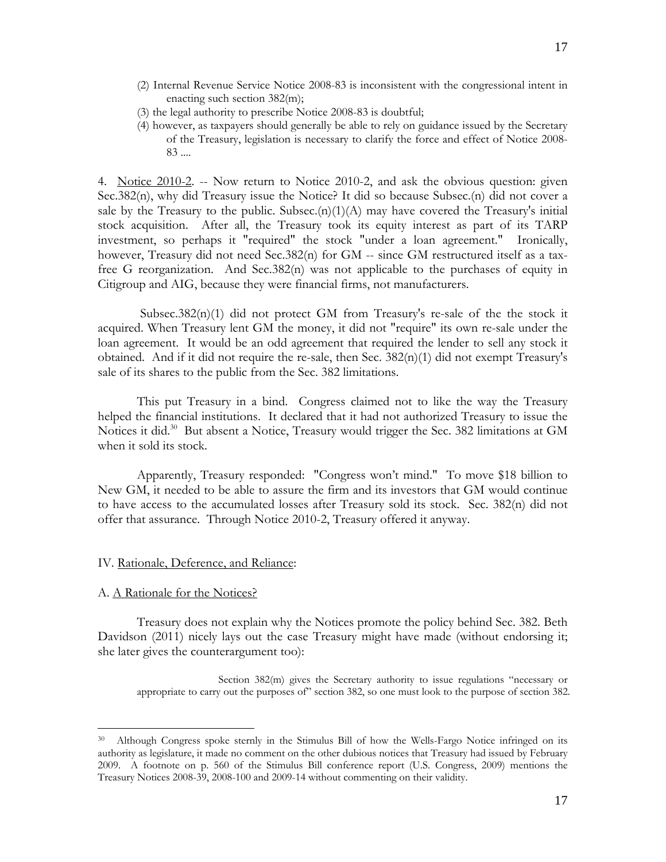- (2) Internal Revenue Service Notice 2008-83 is inconsistent with the congressional intent in enacting such section 382(m);
- (3) the legal authority to prescribe Notice 2008-83 is doubtful;
- (4) however, as taxpayers should generally be able to rely on guidance issued by the Secretary of the Treasury, legislation is necessary to clarify the force and effect of Notice 2008- 83 ....

4. Notice 2010-2. -- Now return to Notice 2010-2, and ask the obvious question: given Sec.382(n), why did Treasury issue the Notice? It did so because Subsec.(n) did not cover a sale by the Treasury to the public. Subsec. $(n)(1)(A)$  may have covered the Treasury's initial stock acquisition. After all, the Treasury took its equity interest as part of its TARP investment, so perhaps it "required" the stock "under a loan agreement." Ironically, however, Treasury did not need Sec.382(n) for GM -- since GM restructured itself as a taxfree G reorganization. And Sec.382(n) was not applicable to the purchases of equity in Citigroup and AIG, because they were financial firms, not manufacturers.

Subsec.382(n)(1) did not protect GM from Treasury's re-sale of the the stock it acquired. When Treasury lent GM the money, it did not "require" its own re-sale under the loan agreement. It would be an odd agreement that required the lender to sell any stock it obtained. And if it did not require the re-sale, then Sec.  $382(n)(1)$  did not exempt Treasury's sale of its shares to the public from the Sec. 382 limitations.

 This put Treasury in a bind. Congress claimed not to like the way the Treasury helped the financial institutions. It declared that it had not authorized Treasury to issue the Notices it did.<sup>30</sup> But absent a Notice, Treasury would trigger the Sec. 382 limitations at GM when it sold its stock.

 Apparently, Treasury responded: "Congress won't mind." To move \$18 billion to New GM, it needed to be able to assure the firm and its investors that GM would continue to have access to the accumulated losses after Treasury sold its stock. Sec. 382(n) did not offer that assurance. Through Notice 2010-2, Treasury offered it anyway.

# IV. Rationale, Deference, and Reliance:

## A. A Rationale for the Notices?

 $\overline{a}$ 

 Treasury does not explain why the Notices promote the policy behind Sec. 382. Beth Davidson (2011) nicely lays out the case Treasury might have made (without endorsing it; she later gives the counterargument too):

Section 382(m) gives the Secretary authority to issue regulations "necessary or appropriate to carry out the purposes of" section 382, so one must look to the purpose of section 382.

<sup>30</sup> Although Congress spoke sternly in the Stimulus Bill of how the Wells-Fargo Notice infringed on its authority as legislature, it made no comment on the other dubious notices that Treasury had issued by February 2009. A footnote on p. 560 of the Stimulus Bill conference report (U.S. Congress, 2009) mentions the Treasury Notices 2008-39, 2008-100 and 2009-14 without commenting on their validity.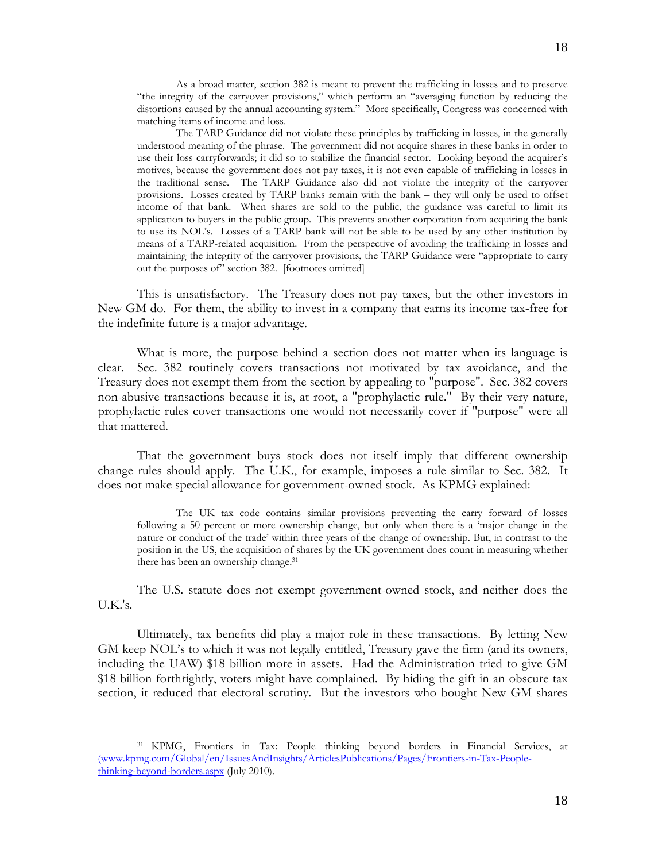As a broad matter, section 382 is meant to prevent the trafficking in losses and to preserve "the integrity of the carryover provisions," which perform an "averaging function by reducing the distortions caused by the annual accounting system." More specifically, Congress was concerned with matching items of income and loss.

The TARP Guidance did not violate these principles by trafficking in losses, in the generally understood meaning of the phrase. The government did not acquire shares in these banks in order to use their loss carryforwards; it did so to stabilize the financial sector. Looking beyond the acquirer's motives, because the government does not pay taxes, it is not even capable of trafficking in losses in the traditional sense. The TARP Guidance also did not violate the integrity of the carryover provisions. Losses created by TARP banks remain with the bank – they will only be used to offset income of that bank. When shares are sold to the public, the guidance was careful to limit its application to buyers in the public group. This prevents another corporation from acquiring the bank to use its NOL's. Losses of a TARP bank will not be able to be used by any other institution by means of a TARP-related acquisition. From the perspective of avoiding the trafficking in losses and maintaining the integrity of the carryover provisions, the TARP Guidance were "appropriate to carry out the purposes of" section 382. [footnotes omitted]

 This is unsatisfactory. The Treasury does not pay taxes, but the other investors in New GM do. For them, the ability to invest in a company that earns its income tax-free for the indefinite future is a major advantage.

 What is more, the purpose behind a section does not matter when its language is clear. Sec. 382 routinely covers transactions not motivated by tax avoidance, and the Treasury does not exempt them from the section by appealing to "purpose". Sec. 382 covers non-abusive transactions because it is, at root, a "prophylactic rule." By their very nature, prophylactic rules cover transactions one would not necessarily cover if "purpose" were all that mattered.

 That the government buys stock does not itself imply that different ownership change rules should apply. The U.K., for example, imposes a rule similar to Sec. 382. It does not make special allowance for government-owned stock. As KPMG explained:

 The UK tax code contains similar provisions preventing the carry forward of losses following a 50 percent or more ownership change, but only when there is a 'major change in the nature or conduct of the trade' within three years of the change of ownership. But, in contrast to the position in the US, the acquisition of shares by the UK government does count in measuring whether there has been an ownership change.<sup>31</sup>

 The U.S. statute does not exempt government-owned stock, and neither does the U.K.'s.

 Ultimately, tax benefits did play a major role in these transactions. By letting New GM keep NOL's to which it was not legally entitled, Treasury gave the firm (and its owners, including the UAW) \$18 billion more in assets. Had the Administration tried to give GM \$18 billion forthrightly, voters might have complained. By hiding the gift in an obscure tax section, it reduced that electoral scrutiny. But the investors who bought New GM shares

 $\overline{a}$ 

<sup>31</sup> KPMG, Frontiers in Tax: People thinking beyond borders in Financial Services, at (www.kpmg.com/Global/en/IssuesAndInsights/ArticlesPublications/Pages/Frontiers-in-Tax-Peoplethinking-beyond-borders.aspx (July 2010).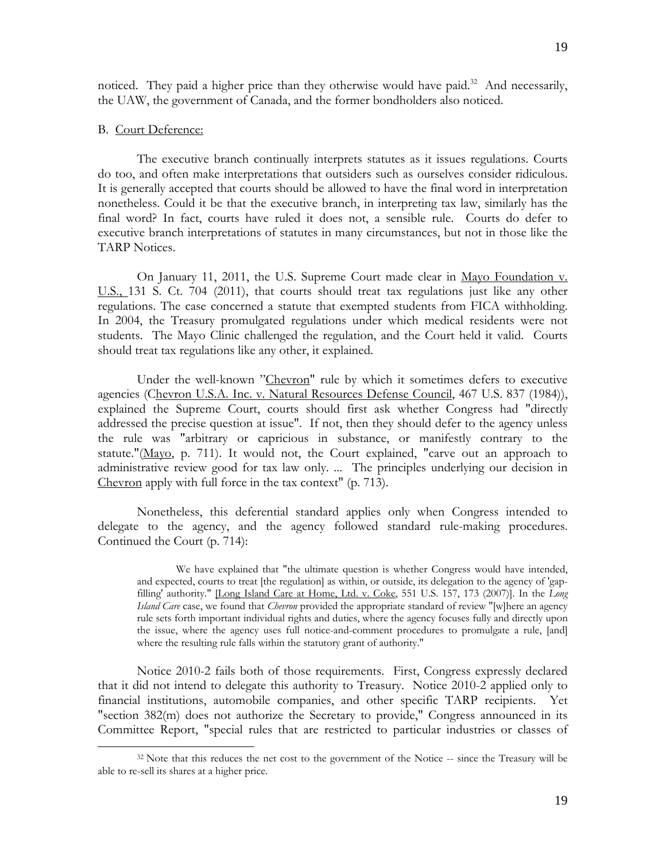noticed. They paid a higher price than they otherwise would have paid.<sup>32</sup> And necessarily, the UAW, the government of Canada, and the former bondholders also noticed.

## B. Court Deference:

 $\overline{a}$ 

 The executive branch continually interprets statutes as it issues regulations. Courts do too, and often make interpretations that outsiders such as ourselves consider ridiculous. It is generally accepted that courts should be allowed to have the final word in interpretation nonetheless. Could it be that the executive branch, in interpreting tax law, similarly has the final word? In fact, courts have ruled it does not, a sensible rule. Courts do defer to executive branch interpretations of statutes in many circumstances, but not in those like the TARP Notices.

 On January 11, 2011, the U.S. Supreme Court made clear in Mayo Foundation v. U.S., 131 S. Ct. 704 (2011), that courts should treat tax regulations just like any other regulations. The case concerned a statute that exempted students from FICA withholding. In 2004, the Treasury promulgated regulations under which medical residents were not students. The Mayo Clinic challenged the regulation, and the Court held it valid. Courts should treat tax regulations like any other, it explained.

Under the well-known "Chevron" rule by which it sometimes defers to executive agencies (Chevron U.S.A. Inc. v. Natural Resources Defense Council, 467 U.S. 837 (1984)), explained the Supreme Court, courts should first ask whether Congress had "directly addressed the precise question at issue". If not, then they should defer to the agency unless the rule was "arbitrary or capricious in substance, or manifestly contrary to the statute."(Mayo, p. 711). It would not, the Court explained, "carve out an approach to administrative review good for tax law only. ... The principles underlying our decision in Chevron apply with full force in the tax context" (p. 713).

 Nonetheless, this deferential standard applies only when Congress intended to delegate to the agency, and the agency followed standard rule-making procedures. Continued the Court (p. 714):

We have explained that "the ultimate question is whether Congress would have intended, and expected, courts to treat [the regulation] as within, or outside, its delegation to the agency of 'gapfilling' authority." [Long Island Care at Home, Ltd. v. Coke, 551 U.S. 157, 173 (2007)]. In the *Long Island Care* case, we found that *Chevron* provided the appropriate standard of review "[w]here an agency rule sets forth important individual rights and duties, where the agency focuses fully and directly upon the issue, where the agency uses full notice-and-comment procedures to promulgate a rule, [and] where the resulting rule falls within the statutory grant of authority."

 Notice 2010-2 fails both of those requirements. First, Congress expressly declared that it did not intend to delegate this authority to Treasury. Notice 2010-2 applied only to financial institutions, automobile companies, and other specific TARP recipients. Yet "section 382(m) does not authorize the Secretary to provide," Congress announced in its Committee Report, "special rules that are restricted to particular industries or classes of

<sup>&</sup>lt;sup>32</sup> Note that this reduces the net cost to the government of the Notice -- since the Treasury will be able to re-sell its shares at a higher price.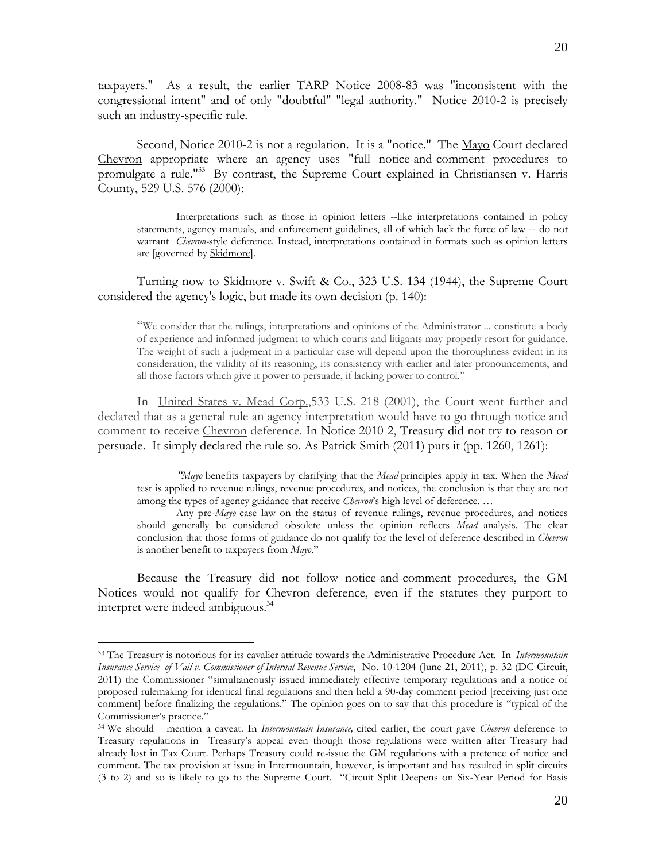taxpayers." As a result, the earlier TARP Notice 2008-83 was "inconsistent with the congressional intent" and of only "doubtful" "legal authority." Notice 2010-2 is precisely such an industry-specific rule.

 Second, Notice 2010-2 is not a regulation. It is a "notice." The Mayo Court declared Chevron appropriate where an agency uses "full notice-and-comment procedures to promulgate a rule."33 By contrast, the Supreme Court explained in Christiansen v. Harris County, 529 U.S. 576 (2000):

 Interpretations such as those in opinion letters --like interpretations contained in policy statements, agency manuals, and enforcement guidelines, all of which lack the force of law -- do not warrant *Chevron-*style deference. Instead, interpretations contained in formats such as opinion letters are [governed by Skidmore].

Turning now to Skidmore v. Swift & Co., 323 U.S. 134 (1944), the Supreme Court considered the agency's logic, but made its own decision (p. 140):

"We consider that the rulings, interpretations and opinions of the Administrator ... constitute a body of experience and informed judgment to which courts and litigants may properly resort for guidance. The weight of such a judgment in a particular case will depend upon the thoroughness evident in its consideration, the validity of its reasoning, its consistency with earlier and later pronouncements, and all those factors which give it power to persuade, if lacking power to control."

 In United States v. Mead Corp.,533 U.S. 218 (2001), the Court went further and declared that as a general rule an agency interpretation would have to go through notice and comment to receive Chevron deference. In Notice 2010-2, Treasury did not try to reason or persuade. It simply declared the rule so. As Patrick Smith (2011) puts it (pp. 1260, 1261):

 *"Mayo* benefits taxpayers by clarifying that the *Mead* principles apply in tax. When the *Mead* test is applied to revenue rulings, revenue procedures, and notices, the conclusion is that they are not among the types of agency guidance that receive *Chevron*'s high level of deference. …

 Any pre-*Mayo* case law on the status of revenue rulings, revenue procedures, and notices should generally be considered obsolete unless the opinion reflects *Mead* analysis. The clear conclusion that those forms of guidance do not qualify for the level of deference described in *Chevron*  is another benefit to taxpayers from *Mayo*."

 Because the Treasury did not follow notice-and-comment procedures, the GM Notices would not qualify for Chevron deference, even if the statutes they purport to interpret were indeed ambiguous.<sup>34</sup>

 $\overline{a}$ 

<sup>33</sup> The Treasury is notorious for its cavalier attitude towards the Administrative Procedure Act. In *Intermountain Insurance Service of Vail v. Commissioner of Internal Revenue Service*, No. 10-1204 (June 21, 2011), p. 32 (DC Circuit, 2011) the Commissioner "simultaneously issued immediately effective temporary regulations and a notice of proposed rulemaking for identical final regulations and then held a 90-day comment period [receiving just one comment] before finalizing the regulations." The opinion goes on to say that this procedure is "typical of the Commissioner's practice."

<sup>34</sup> We should mention a caveat. In *Intermountain Insurance,* cited earlier, the court gave *Chevron* deference to Treasury regulations in Treasury's appeal even though those regulations were written after Treasury had already lost in Tax Court. Perhaps Treasury could re-issue the GM regulations with a pretence of notice and comment. The tax provision at issue in Intermountain, however, is important and has resulted in split circuits (3 to 2) and so is likely to go to the Supreme Court. "Circuit Split Deepens on Six-Year Period for Basis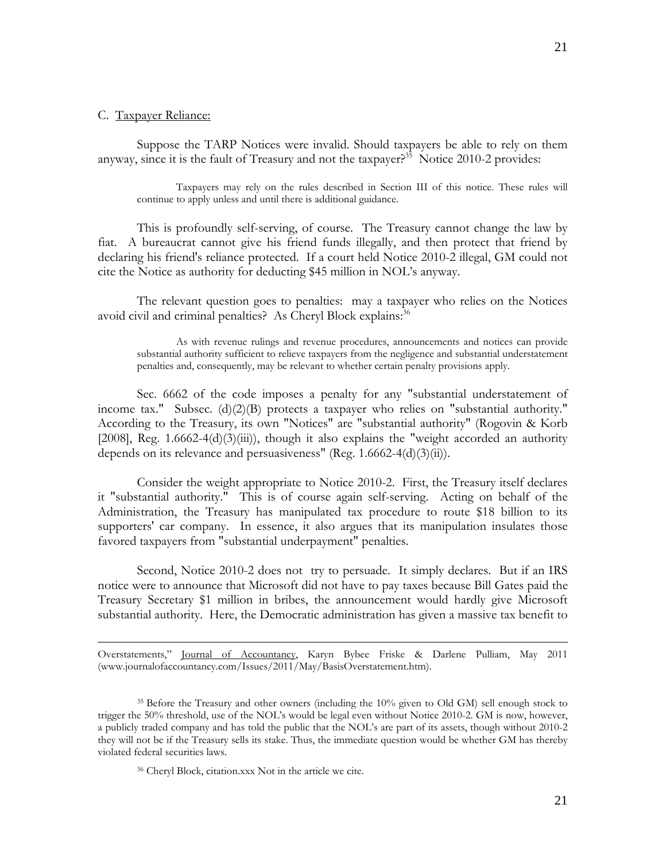$\overline{a}$ 

 Suppose the TARP Notices were invalid. Should taxpayers be able to rely on them anyway, since it is the fault of Treasury and not the taxpayer?<sup>35</sup> Notice 2010-2 provides:

 Taxpayers may rely on the rules described in Section III of this notice. These rules will continue to apply unless and until there is additional guidance.

 This is profoundly self-serving, of course. The Treasury cannot change the law by fiat. A bureaucrat cannot give his friend funds illegally, and then protect that friend by declaring his friend's reliance protected. If a court held Notice 2010-2 illegal, GM could not cite the Notice as authority for deducting \$45 million in NOL's anyway.

 The relevant question goes to penalties: may a taxpayer who relies on the Notices avoid civil and criminal penalties? As Cheryl Block explains:<sup>36</sup>

 As with revenue rulings and revenue procedures, announcements and notices can provide substantial authority sufficient to relieve taxpayers from the negligence and substantial understatement penalties and, consequently, may be relevant to whether certain penalty provisions apply.

 Sec. 6662 of the code imposes a penalty for any "substantial understatement of income tax." Subsec. (d)(2)(B) protects a taxpayer who relies on "substantial authority." According to the Treasury, its own "Notices" are "substantial authority" (Rogovin & Korb  $[2008]$ , Reg.  $1.6662-4(d)(3(iii))$ , though it also explains the "weight accorded an authority depends on its relevance and persuasiveness" (Reg. 1.6662-4(d)(3)(ii)).

 Consider the weight appropriate to Notice 2010-2. First, the Treasury itself declares it "substantial authority." This is of course again self-serving. Acting on behalf of the Administration, the Treasury has manipulated tax procedure to route \$18 billion to its supporters' car company. In essence, it also argues that its manipulation insulates those favored taxpayers from "substantial underpayment" penalties.

 Second, Notice 2010-2 does not try to persuade. It simply declares. But if an IRS notice were to announce that Microsoft did not have to pay taxes because Bill Gates paid the Treasury Secretary \$1 million in bribes, the announcement would hardly give Microsoft substantial authority. Here, the Democratic administration has given a massive tax benefit to

Overstatements," Journal of Accountancy, Karyn Bybee Friske & Darlene Pulliam, May 2011 (www.journalofaccountancy.com/Issues/2011/May/BasisOverstatement.htm).

<sup>&</sup>lt;sup>35</sup> Before the Treasury and other owners (including the 10% given to Old GM) sell enough stock to trigger the 50% threshold, use of the NOL's would be legal even without Notice 2010-2. GM is now, however, a publicly traded company and has told the public that the NOL's are part of its assets, though without 2010-2 they will not be if the Treasury sells its stake. Thus, the immediate question would be whether GM has thereby violated federal securities laws.

<sup>36</sup> Cheryl Block, citation.xxx Not in the article we cite.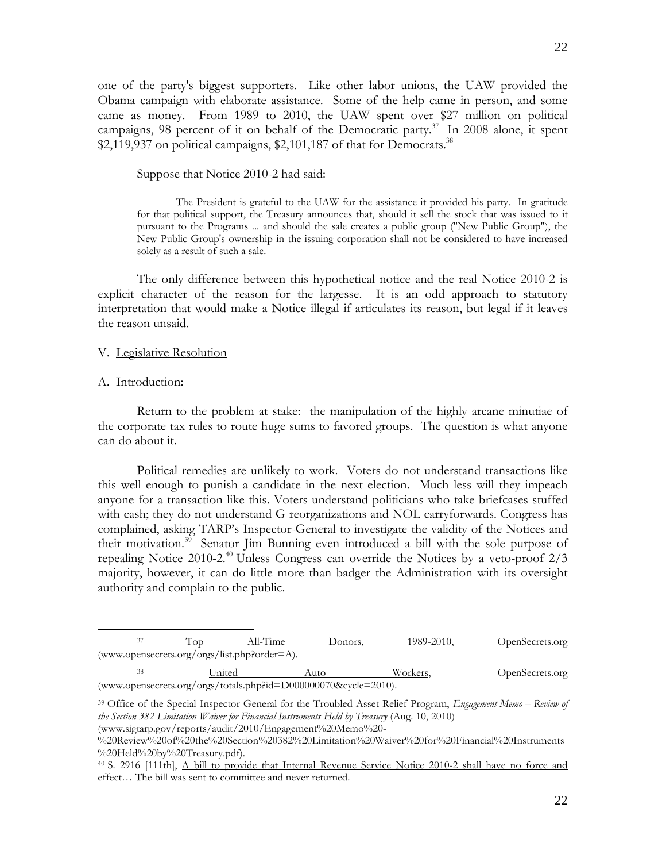one of the party's biggest supporters. Like other labor unions, the UAW provided the Obama campaign with elaborate assistance. Some of the help came in person, and some came as money. From 1989 to 2010, the UAW spent over \$27 million on political campaigns, 98 percent of it on behalf of the Democratic party.<sup>37</sup> In 2008 alone, it spent \$2,119,937 on political campaigns, \$2,101,187 of that for Democrats.<sup>38</sup>

Suppose that Notice 2010-2 had said:

 The President is grateful to the UAW for the assistance it provided his party. In gratitude for that political support, the Treasury announces that, should it sell the stock that was issued to it pursuant to the Programs ... and should the sale creates a public group ("New Public Group"), the New Public Group's ownership in the issuing corporation shall not be considered to have increased solely as a result of such a sale.

 The only difference between this hypothetical notice and the real Notice 2010-2 is explicit character of the reason for the largesse. It is an odd approach to statutory interpretation that would make a Notice illegal if articulates its reason, but legal if it leaves the reason unsaid.

## V. Legislative Resolution

## A. Introduction:

 Return to the problem at stake: the manipulation of the highly arcane minutiae of the corporate tax rules to route huge sums to favored groups. The question is what anyone can do about it.

 Political remedies are unlikely to work. Voters do not understand transactions like this well enough to punish a candidate in the next election. Much less will they impeach anyone for a transaction like this. Voters understand politicians who take briefcases stuffed with cash; they do not understand G reorganizations and NOL carryforwards. Congress has complained, asking TARP's Inspector-General to investigate the validity of the Notices and their motivation.<sup>39</sup> Senator Jim Bunning even introduced a bill with the sole purpose of repealing Notice 2010-2.<sup>40</sup> Unless Congress can override the Notices by a veto-proof  $2/3$ majority, however, it can do little more than badger the Administration with its oversight authority and complain to the public.

| 37 |                                              | All-Time | Donors. | 1989-2010. | OpenSecrets.org |
|----|----------------------------------------------|----------|---------|------------|-----------------|
|    | (www.opensecrets.org/orgs/list.php?order=A). |          |         |            |                 |
| 38 | United                                       |          | Auto    | Workers.   | OpenSecrets.org |
|    |                                              |          |         | - - - - -  |                 |

(www.opensecrets.org/orgs/totals.php?id=D000000070&cycle=2010).

<sup>39</sup> Office of the Special Inspector General for the Troubled Asset Relief Program, *Engagement Memo – Review of the Section 382 Limitation Waiver for Financial Instruments Held by Treasury* (Aug. 10, 2010)

<sup>(</sup>www.sigtarp.gov/reports/audit/2010/Engagement%20Memo%20-

<sup>%20</sup>Review%20of%20the%20Section%20382%20Limitation%20Waiver%20for%20Financial%20Instruments %20Held%20by%20Treasury.pdf).

<sup>40</sup> S. 2916 [111th], A bill to provide that Internal Revenue Service Notice 2010-2 shall have no force and effect… The bill was sent to committee and never returned.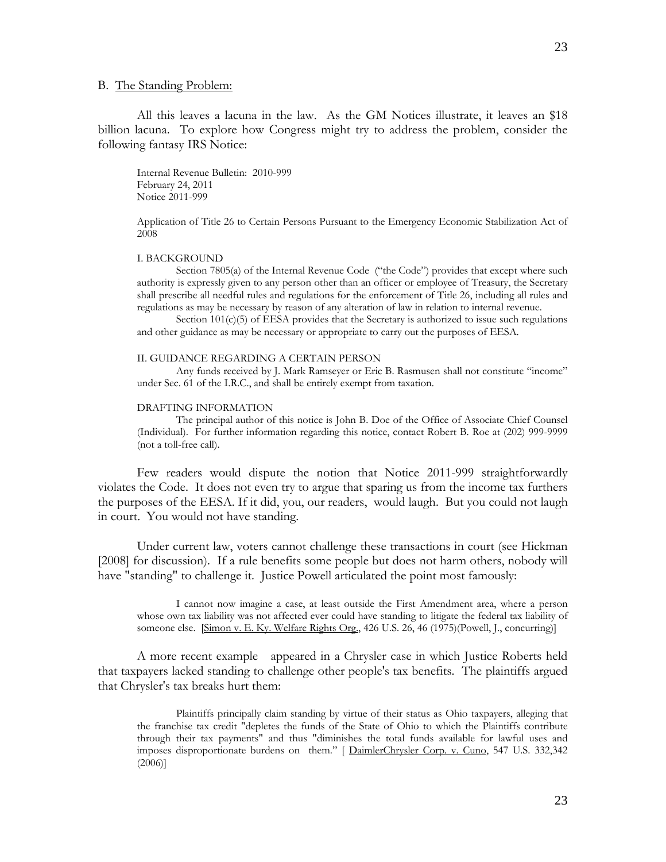### B. The Standing Problem:

 All this leaves a lacuna in the law. As the GM Notices illustrate, it leaves an \$18 billion lacuna. To explore how Congress might try to address the problem, consider the following fantasy IRS Notice:

Internal Revenue Bulletin: 2010-999 February 24, 2011 Notice 2011-999

Application of Title 26 to Certain Persons Pursuant to the Emergency Economic Stabilization Act of 2008

#### I. BACKGROUND

 Section 7805(a) of the Internal Revenue Code ("the Code") provides that except where such authority is expressly given to any person other than an officer or employee of Treasury, the Secretary shall prescribe all needful rules and regulations for the enforcement of Title 26, including all rules and regulations as may be necessary by reason of any alteration of law in relation to internal revenue.

Section  $101(c)(5)$  of EESA provides that the Secretary is authorized to issue such regulations and other guidance as may be necessary or appropriate to carry out the purposes of EESA.

### II. GUIDANCE REGARDING A CERTAIN PERSON

 Any funds received by J. Mark Ramseyer or Eric B. Rasmusen shall not constitute "income" under Sec. 61 of the I.R.C., and shall be entirely exempt from taxation.

#### DRAFTING INFORMATION

 The principal author of this notice is John B. Doe of the Office of Associate Chief Counsel (Individual). For further information regarding this notice, contact Robert B. Roe at (202) 999-9999 (not a toll-free call).

 Few readers would dispute the notion that Notice 2011-999 straightforwardly violates the Code. It does not even try to argue that sparing us from the income tax furthers the purposes of the EESA. If it did, you, our readers, would laugh. But you could not laugh in court. You would not have standing.

 Under current law, voters cannot challenge these transactions in court (see Hickman [2008] for discussion). If a rule benefits some people but does not harm others, nobody will have "standing" to challenge it. Justice Powell articulated the point most famously:

I cannot now imagine a case, at least outside the First Amendment area, where a person whose own tax liability was not affected ever could have standing to litigate the federal tax liability of someone else. [Simon v. E. Ky. Welfare Rights Org., 426 U.S. 26, 46 (1975)(Powell, J., concurring)]

 A more recent example appeared in a Chrysler case in which Justice Roberts held that taxpayers lacked standing to challenge other people's tax benefits. The plaintiffs argued that Chrysler's tax breaks hurt them:

 Plaintiffs principally claim standing by virtue of their status as Ohio taxpayers, alleging that the franchise tax credit "depletes the funds of the State of Ohio to which the Plaintiffs contribute through their tax payments" and thus "diminishes the total funds available for lawful uses and imposes disproportionate burdens on them." [ DaimlerChrysler Corp. v. Cuno, 547 U.S. 332,342 (2006)]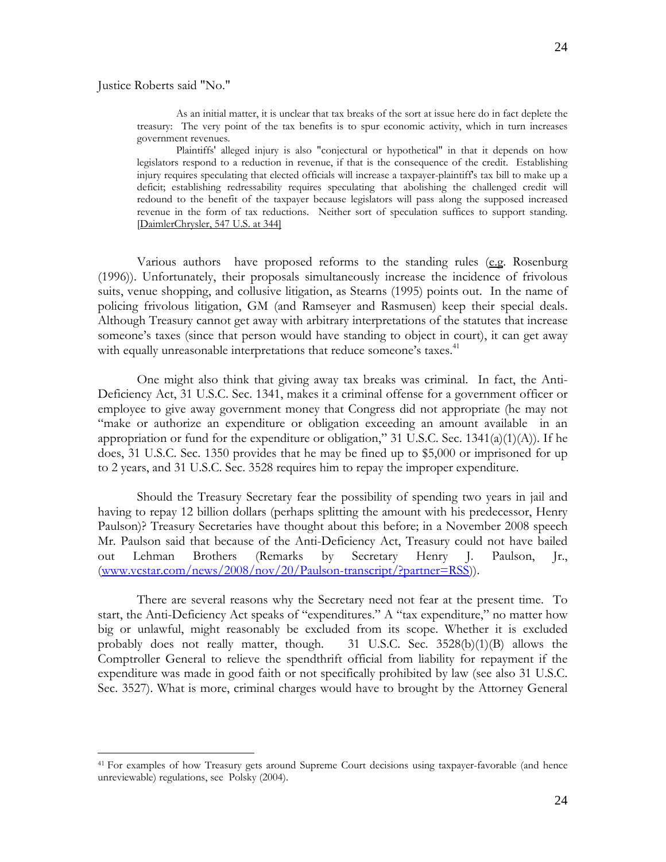Justice Roberts said "No."

 $\overline{a}$ 

 As an initial matter, it is unclear that tax breaks of the sort at issue here do in fact deplete the treasury: The very point of the tax benefits is to spur economic activity, which in turn increases government revenues.

 Plaintiffs' alleged injury is also "conjectural or hypothetical" in that it depends on how legislators respond to a reduction in revenue, if that is the consequence of the credit. Establishing injury requires speculating that elected officials will increase a taxpayer-plaintiff's tax bill to make up a deficit; establishing redressability requires speculating that abolishing the challenged credit will redound to the benefit of the taxpayer because legislators will pass along the supposed increased revenue in the form of tax reductions. Neither sort of speculation suffices to support standing. [DaimlerChrysler, 547 U.S. at 344]

Various authors have proposed reforms to the standing rules  $(e.g.$  Rosenburg (1996)). Unfortunately, their proposals simultaneously increase the incidence of frivolous suits, venue shopping, and collusive litigation, as Stearns (1995) points out. In the name of policing frivolous litigation, GM (and Ramseyer and Rasmusen) keep their special deals. Although Treasury cannot get away with arbitrary interpretations of the statutes that increase someone's taxes (since that person would have standing to object in court), it can get away with equally unreasonable interpretations that reduce someone's taxes.<sup>41</sup>

 One might also think that giving away tax breaks was criminal. In fact, the Anti-Deficiency Act, 31 U.S.C. Sec. 1341, makes it a criminal offense for a government officer or employee to give away government money that Congress did not appropriate (he may not "make or authorize an expenditure or obligation exceeding an amount available in an appropriation or fund for the expenditure or obligation," 31 U.S.C. Sec.  $1341(a)(1)(A)$ ). If he does, 31 U.S.C. Sec. 1350 provides that he may be fined up to \$5,000 or imprisoned for up to 2 years, and 31 U.S.C. Sec. 3528 requires him to repay the improper expenditure.

 Should the Treasury Secretary fear the possibility of spending two years in jail and having to repay 12 billion dollars (perhaps splitting the amount with his predecessor, Henry Paulson)? Treasury Secretaries have thought about this before; in a November 2008 speech Mr. Paulson said that because of the Anti-Deficiency Act, Treasury could not have bailed out Lehman Brothers (Remarks by Secretary Henry J. Paulson, Jr., (www.vcstar.com/news/2008/nov/20/Paulson-transcript/?partner=RSS)).

 There are several reasons why the Secretary need not fear at the present time. To start, the Anti-Deficiency Act speaks of "expenditures." A "tax expenditure," no matter how big or unlawful, might reasonably be excluded from its scope. Whether it is excluded probably does not really matter, though.  $31 \text{ U.S.C.}$  Sec.  $3528(b)(1)(B)$  allows the Comptroller General to relieve the spendthrift official from liability for repayment if the expenditure was made in good faith or not specifically prohibited by law (see also 31 U.S.C. Sec. 3527). What is more, criminal charges would have to brought by the Attorney General

<sup>&</sup>lt;sup>41</sup> For examples of how Treasury gets around Supreme Court decisions using taxpayer-favorable (and hence unreviewable) regulations, see Polsky (2004).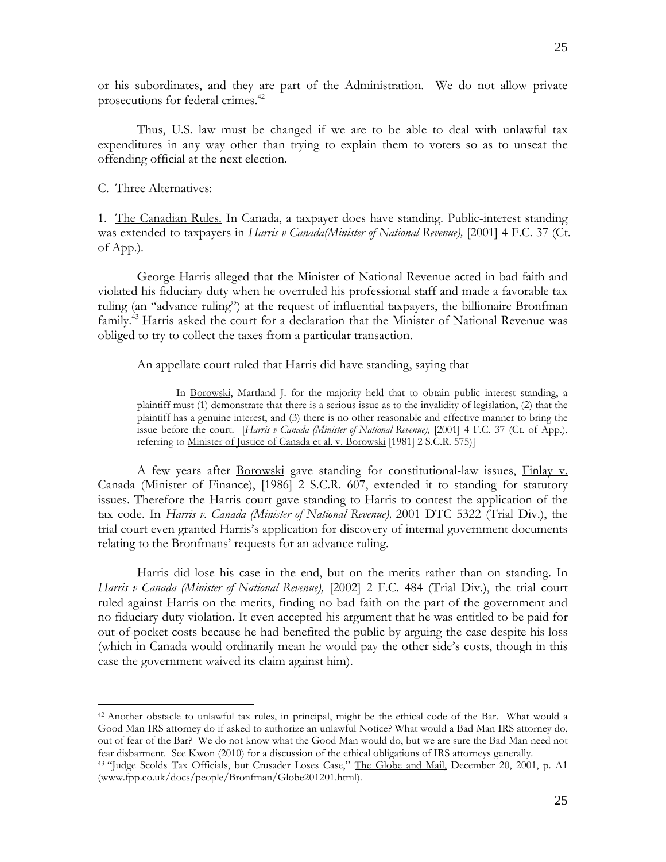or his subordinates, and they are part of the Administration. We do not allow private prosecutions for federal crimes.<sup>42</sup>

 Thus, U.S. law must be changed if we are to be able to deal with unlawful tax expenditures in any way other than trying to explain them to voters so as to unseat the offending official at the next election.

## C. Three Alternatives:

 $\overline{a}$ 

1. The Canadian Rules. In Canada, a taxpayer does have standing. Public-interest standing was extended to taxpayers in *Harris v Canada(Minister of National Revenue),* [2001] 4 F.C. 37 (Ct. of App.).

 George Harris alleged that the Minister of National Revenue acted in bad faith and violated his fiduciary duty when he overruled his professional staff and made a favorable tax ruling (an "advance ruling") at the request of influential taxpayers, the billionaire Bronfman family.<sup>43</sup> Harris asked the court for a declaration that the Minister of National Revenue was obliged to try to collect the taxes from a particular transaction.

An appellate court ruled that Harris did have standing, saying that

In <u>Borowski</u>, Martland J. for the majority held that to obtain public interest standing, a plaintiff must (1) demonstrate that there is a serious issue as to the invalidity of legislation, (2) that the plaintiff has a genuine interest, and (3) there is no other reasonable and effective manner to bring the issue before the court. [*Harris v Canada (Minister of National Revenue),* [2001] 4 F.C. 37 (Ct. of App.), referring to Minister of Justice of Canada et al. v. Borowski [1981] 2 S.C.R. 575)]

 A few years after Borowski gave standing for constitutional-law issues, Finlay v. Canada (Minister of Finance), [1986] 2 S.C.R. 607, extended it to standing for statutory issues. Therefore the Harris court gave standing to Harris to contest the application of the tax code. In *Harris v. Canada (Minister of National Revenue),* 2001 DTC 5322 (Trial Div.), the trial court even granted Harris's application for discovery of internal government documents relating to the Bronfmans' requests for an advance ruling.

 Harris did lose his case in the end, but on the merits rather than on standing. In *Harris v Canada (Minister of National Revenue),* [2002] 2 F.C. 484 (Trial Div.), the trial court ruled against Harris on the merits, finding no bad faith on the part of the government and no fiduciary duty violation. It even accepted his argument that he was entitled to be paid for out-of-pocket costs because he had benefited the public by arguing the case despite his loss (which in Canada would ordinarily mean he would pay the other side's costs, though in this case the government waived its claim against him).

<sup>42</sup> Another obstacle to unlawful tax rules, in principal, might be the ethical code of the Bar. What would a Good Man IRS attorney do if asked to authorize an unlawful Notice? What would a Bad Man IRS attorney do, out of fear of the Bar? We do not know what the Good Man would do, but we are sure the Bad Man need not fear disbarment. See Kwon (2010) for a discussion of the ethical obligations of IRS attorneys generally. 43 "Judge Scolds Tax Officials, but Crusader Loses Case," The Globe and Mail, December 20, 2001, p. A1

<sup>(</sup>www.fpp.co.uk/docs/people/Bronfman/Globe201201.html).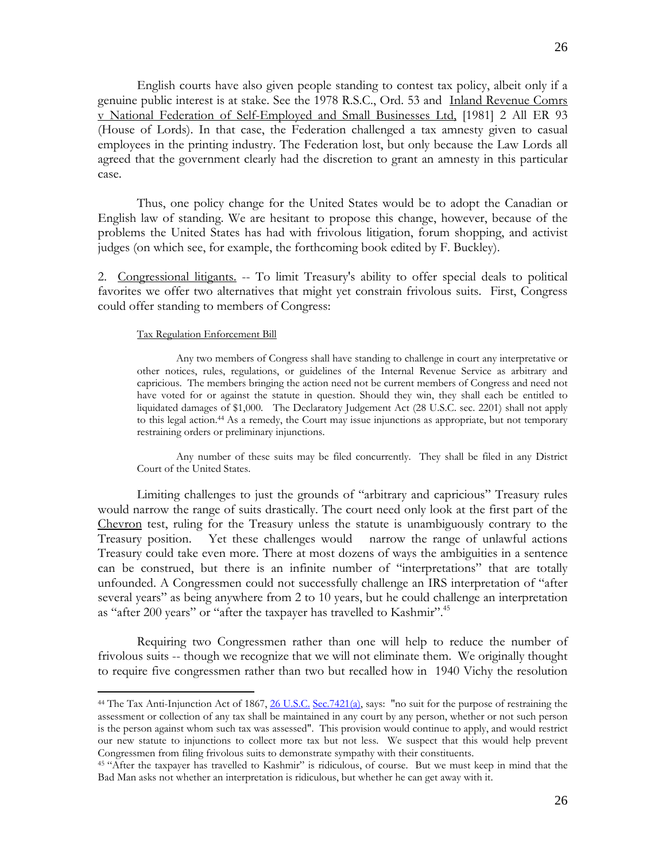English courts have also given people standing to contest tax policy, albeit only if a genuine public interest is at stake. See the 1978 R.S.C., Ord. 53 and Inland Revenue Comrs v National Federation of Self-Employed and Small Businesses Ltd, [1981] 2 All ER 93 (House of Lords). In that case, the Federation challenged a tax amnesty given to casual employees in the printing industry. The Federation lost, but only because the Law Lords all agreed that the government clearly had the discretion to grant an amnesty in this particular case.

 Thus, one policy change for the United States would be to adopt the Canadian or English law of standing. We are hesitant to propose this change, however, because of the problems the United States has had with frivolous litigation, forum shopping, and activist judges (on which see, for example, the forthcoming book edited by F. Buckley).

2. Congressional litigants. -- To limit Treasury's ability to offer special deals to political favorites we offer two alternatives that might yet constrain frivolous suits. First, Congress could offer standing to members of Congress:

#### Tax Regulation Enforcement Bill

 $\overline{a}$ 

 Any two members of Congress shall have standing to challenge in court any interpretative or other notices, rules, regulations, or guidelines of the Internal Revenue Service as arbitrary and capricious. The members bringing the action need not be current members of Congress and need not have voted for or against the statute in question. Should they win, they shall each be entitled to liquidated damages of \$1,000. The Declaratory Judgement Act (28 U.S.C. sec. 2201) shall not apply to this legal action.44 As a remedy, the Court may issue injunctions as appropriate, but not temporary restraining orders or preliminary injunctions.

 Any number of these suits may be filed concurrently. They shall be filed in any District Court of the United States.

 Limiting challenges to just the grounds of "arbitrary and capricious" Treasury rules would narrow the range of suits drastically. The court need only look at the first part of the Chevron test, ruling for the Treasury unless the statute is unambiguously contrary to the Treasury position. Yet these challenges would narrow the range of unlawful actions Treasury could take even more. There at most dozens of ways the ambiguities in a sentence can be construed, but there is an infinite number of "interpretations" that are totally unfounded. A Congressmen could not successfully challenge an IRS interpretation of "after several years" as being anywhere from 2 to 10 years, but he could challenge an interpretation as "after 200 years" or "after the taxpayer has travelled to Kashmir".<sup>45</sup>

 Requiring two Congressmen rather than one will help to reduce the number of frivolous suits -- though we recognize that we will not eliminate them. We originally thought to require five congressmen rather than two but recalled how in 1940 Vichy the resolution

<sup>&</sup>lt;sup>44</sup> The Tax Anti-Injunction Act of 1867, 26 U.S.C. Sec.7421(a), says: "no suit for the purpose of restraining the assessment or collection of any tax shall be maintained in any court by any person, whether or not such person is the person against whom such tax was assessed". This provision would continue to apply, and would restrict our new statute to injunctions to collect more tax but not less. We suspect that this would help prevent Congressmen from filing frivolous suits to demonstrate sympathy with their constituents. 45 "After the taxpayer has travelled to Kashmir" is ridiculous, of course. But we must keep in mind that the

Bad Man asks not whether an interpretation is ridiculous, but whether he can get away with it.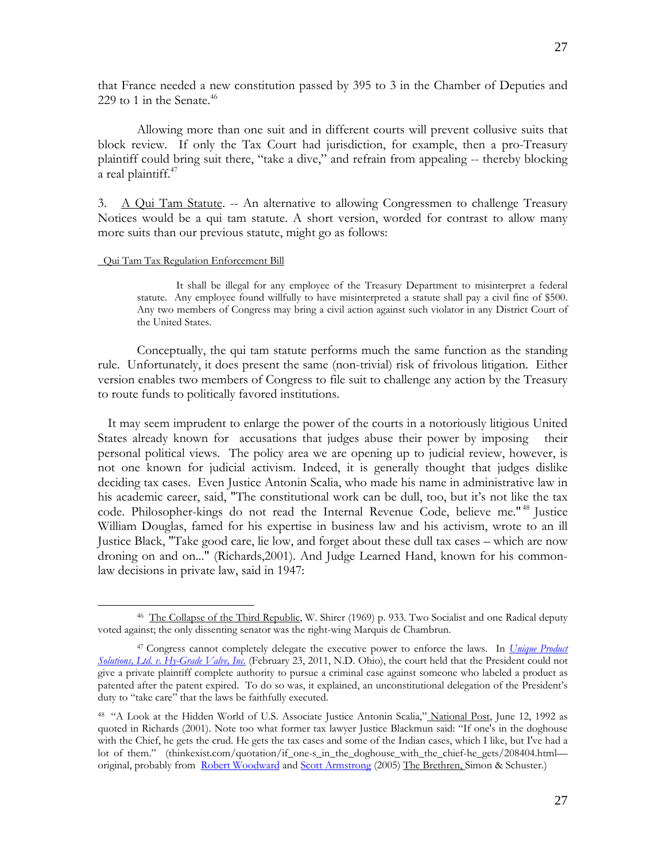that France needed a new constitution passed by 395 to 3 in the Chamber of Deputies and 229 to 1 in the Senate.<sup>46</sup>

 Allowing more than one suit and in different courts will prevent collusive suits that block review. If only the Tax Court had jurisdiction, for example, then a pro-Treasury plaintiff could bring suit there, "take a dive," and refrain from appealing -- thereby blocking a real plaintiff.<sup>47</sup>

3. A Qui Tam Statute. -- An alternative to allowing Congressmen to challenge Treasury Notices would be a qui tam statute. A short version, worded for contrast to allow many more suits than our previous statute, might go as follows:

#### Qui Tam Tax Regulation Enforcement Bill

 $\overline{a}$ 

 It shall be illegal for any employee of the Treasury Department to misinterpret a federal statute. Any employee found willfully to have misinterpreted a statute shall pay a civil fine of \$500. Any two members of Congress may bring a civil action against such violator in any District Court of the United States.

 Conceptually, the qui tam statute performs much the same function as the standing rule. Unfortunately, it does present the same (non-trivial) risk of frivolous litigation. Either version enables two members of Congress to file suit to challenge any action by the Treasury to route funds to politically favored institutions.

 It may seem imprudent to enlarge the power of the courts in a notoriously litigious United States already known for accusations that judges abuse their power by imposing their personal political views. The policy area we are opening up to judicial review, however, is not one known for judicial activism. Indeed, it is generally thought that judges dislike deciding tax cases. Even Justice Antonin Scalia, who made his name in administrative law in his academic career, said, "The constitutional work can be dull, too, but it's not like the tax code. Philosopher-kings do not read the Internal Revenue Code, believe me."<sup>48</sup> Justice William Douglas, famed for his expertise in business law and his activism, wrote to an ill Justice Black, "Take good care, lie low, and forget about these dull tax cases – which are now droning on and on..." (Richards,2001). And Judge Learned Hand, known for his commonlaw decisions in private law, said in 1947:

<sup>&</sup>lt;sup>46</sup> The Collapse of the Third Republic, W. Shirer (1969) p. 933. Two Socialist and one Radical deputy voted against; the only dissenting senator was the right-wing Marquis de Chambrun.

<sup>47</sup> Congress cannot completely delegate the executive power to enforce the laws. In *Unique Product Solutions, Ltd. v. Hy-Grade Valve, Inc.* (February 23, 2011, N.D. Ohio), the court held that the President could not give a private plaintiff complete authority to pursue a criminal case against someone who labeled a product as patented after the patent expired. To do so was, it explained, an unconstitutional delegation of the President's duty to "take care" that the laws be faithfully executed.

<sup>&</sup>lt;sup>48</sup> "A Look at the Hidden World of U.S. Associate Justice Antonin Scalia," National Post, June 12, 1992 as quoted in Richards (2001). Note too what former tax lawyer Justice Blackmun said: "If one's in the doghouse with the Chief, he gets the crud. He gets the tax cases and some of the Indian cases, which I like, but I've had a lot of them." (thinkexist.com/quotation/if\_one-s\_in\_the\_doghouse\_with\_the\_chief-he\_gets/208404.html original, probably from Robert Woodward and Scott Armstrong (2005) The Brethren, Simon & Schuster.)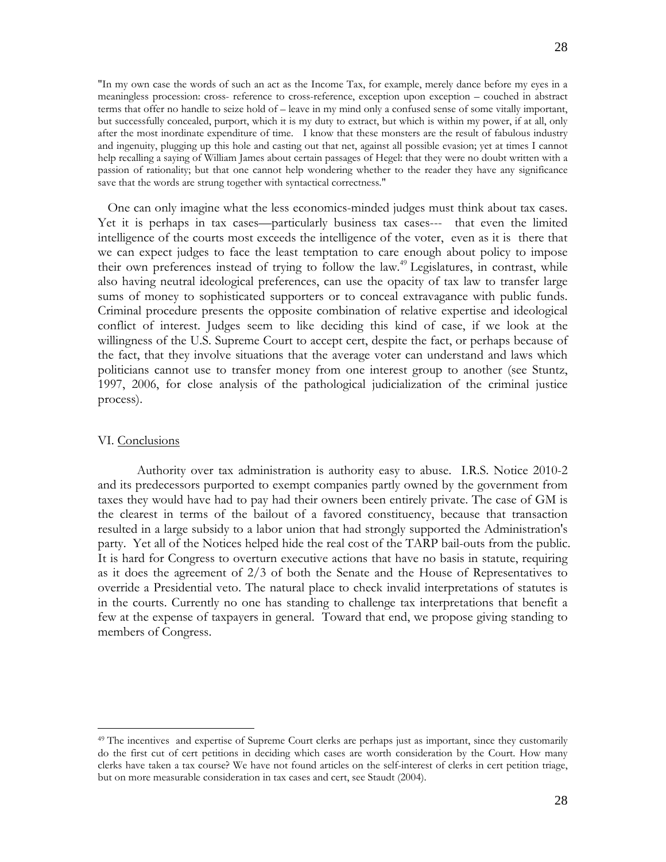"In my own case the words of such an act as the Income Tax, for example, merely dance before my eyes in a meaningless procession: cross- reference to cross-reference, exception upon exception – couched in abstract terms that offer no handle to seize hold of – leave in my mind only a confused sense of some vitally important, but successfully concealed, purport, which it is my duty to extract, but which is within my power, if at all, only after the most inordinate expenditure of time. I know that these monsters are the result of fabulous industry and ingenuity, plugging up this hole and casting out that net, against all possible evasion; yet at times I cannot help recalling a saying of William James about certain passages of Hegel: that they were no doubt written with a passion of rationality; but that one cannot help wondering whether to the reader they have any significance save that the words are strung together with syntactical correctness."

 One can only imagine what the less economics-minded judges must think about tax cases. Yet it is perhaps in tax cases—particularly business tax cases--- that even the limited intelligence of the courts most exceeds the intelligence of the voter, even as it is there that we can expect judges to face the least temptation to care enough about policy to impose their own preferences instead of trying to follow the law.<sup>49</sup> Legislatures, in contrast, while also having neutral ideological preferences, can use the opacity of tax law to transfer large sums of money to sophisticated supporters or to conceal extravagance with public funds. Criminal procedure presents the opposite combination of relative expertise and ideological conflict of interest. Judges seem to like deciding this kind of case, if we look at the willingness of the U.S. Supreme Court to accept cert, despite the fact, or perhaps because of the fact, that they involve situations that the average voter can understand and laws which politicians cannot use to transfer money from one interest group to another (see Stuntz, 1997, 2006, for close analysis of the pathological judicialization of the criminal justice process).

### VI. Conclusions

1

 Authority over tax administration is authority easy to abuse. I.R.S. Notice 2010-2 and its predecessors purported to exempt companies partly owned by the government from taxes they would have had to pay had their owners been entirely private. The case of GM is the clearest in terms of the bailout of a favored constituency, because that transaction resulted in a large subsidy to a labor union that had strongly supported the Administration's party. Yet all of the Notices helped hide the real cost of the TARP bail-outs from the public. It is hard for Congress to overturn executive actions that have no basis in statute, requiring as it does the agreement of 2/3 of both the Senate and the House of Representatives to override a Presidential veto. The natural place to check invalid interpretations of statutes is in the courts. Currently no one has standing to challenge tax interpretations that benefit a few at the expense of taxpayers in general. Toward that end, we propose giving standing to members of Congress.

<sup>&</sup>lt;sup>49</sup> The incentives and expertise of Supreme Court clerks are perhaps just as important, since they customarily do the first cut of cert petitions in deciding which cases are worth consideration by the Court. How many clerks have taken a tax course? We have not found articles on the self-interest of clerks in cert petition triage, but on more measurable consideration in tax cases and cert, see Staudt (2004).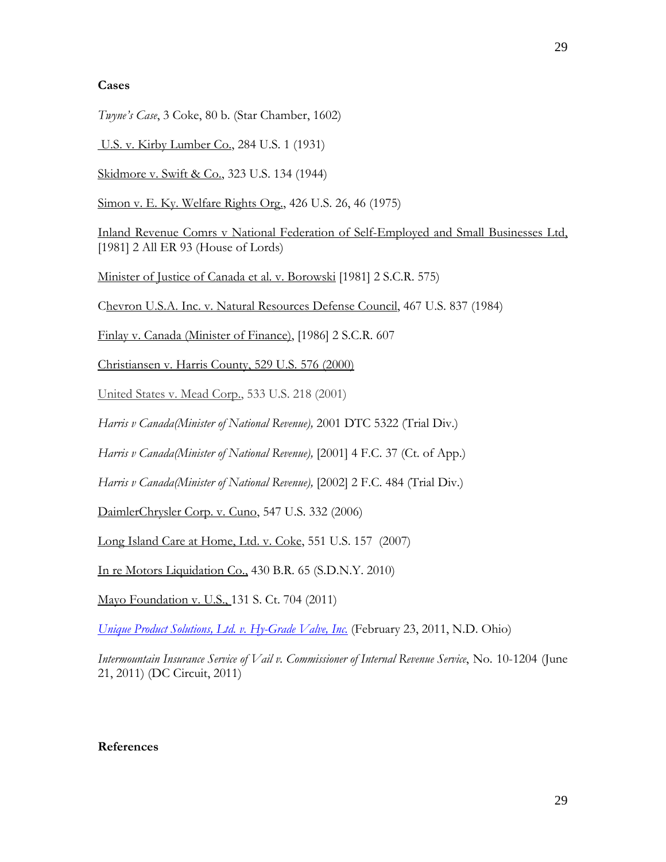# **Cases**

*Twyne's Case*, 3 Coke, 80 b. (Star Chamber, 1602)

U.S. v. Kirby Lumber Co., 284 U.S. 1 (1931)

Skidmore v. Swift & Co., 323 U.S. 134 (1944)

Simon v. E. Ky. Welfare Rights Org., 426 U.S. 26, 46 (1975)

Inland Revenue Comrs v National Federation of Self-Employed and Small Businesses Ltd, [1981] 2 All ER 93 (House of Lords)

Minister of Justice of Canada et al. v. Borowski [1981] 2 S.C.R. 575)

Chevron U.S.A. Inc. v. Natural Resources Defense Council, 467 U.S. 837 (1984)

Finlay v. Canada (Minister of Finance), [1986] 2 S.C.R. 607

Christiansen v. Harris County, 529 U.S. 576 (2000)

United States v. Mead Corp., 533 U.S. 218 (2001)

*Harris v Canada(Minister of National Revenue),* 2001 DTC 5322 (Trial Div.)

*Harris v Canada(Minister of National Revenue),* [2001] 4 F.C. 37 (Ct. of App.)

*Harris v Canada(Minister of National Revenue),* [2002] 2 F.C. 484 (Trial Div.)

DaimlerChrysler Corp. v. Cuno, 547 U.S. 332 (2006)

Long Island Care at Home, Ltd. v. Coke, 551 U.S. 157 (2007)

In re Motors Liquidation Co., 430 B.R. 65 (S.D.N.Y. 2010)

Mayo Foundation v. U.S., 131 S. Ct. 704 (2011)

*Unique Product Solutions, Ltd. v. Hy-Grade Valve, Inc.* (February 23, 2011, N.D. Ohio)

*Intermountain Insurance Service of Vail v. Commissioner of Internal Revenue Service*, No. 10-1204 (June 21, 2011) (DC Circuit, 2011)

# **References**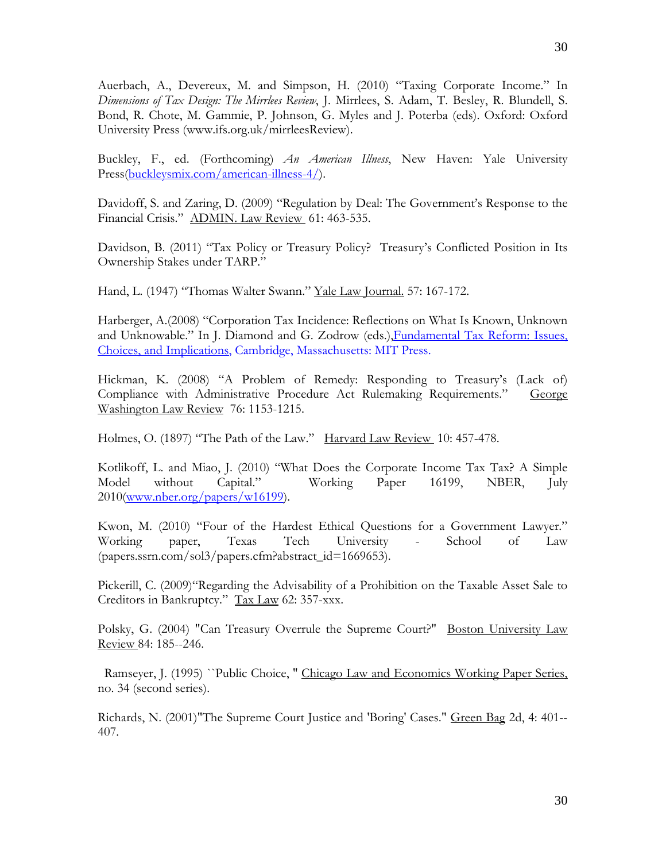Auerbach, A., Devereux, M. and Simpson, H. (2010) "Taxing Corporate Income." In *Dimensions of Tax Design: The Mirrlees Review*, J. Mirrlees, S. Adam, T. Besley, R. Blundell, S. Bond, R. Chote, M. Gammie, P. Johnson, G. Myles and J. Poterba (eds). Oxford: Oxford University Press (www.ifs.org.uk/mirrleesReview).

Buckley, F., ed. (Forthcoming) *An American Illness*, New Haven: Yale University Press(buckleysmix.com/american-illness-4/).

Davidoff, S. and Zaring, D. (2009) "Regulation by Deal: The Government's Response to the Financial Crisis." ADMIN. Law Review 61: 463-535.

Davidson, B. (2011) "Tax Policy or Treasury Policy? Treasury's Conflicted Position in Its Ownership Stakes under TARP."

Hand, L. (1947) "Thomas Walter Swann." Yale Law Journal. 57: 167-172.

Harberger, A.(2008) "Corporation Tax Incidence: Reflections on What Is Known, Unknown and Unknowable." In J. Diamond and G. Zodrow (eds.), Fundamental Tax Reform: Issues, Choices, and Implications, Cambridge, Massachusetts: MIT Press.

Hickman, K. (2008) "A Problem of Remedy: Responding to Treasury's (Lack of) Compliance with Administrative Procedure Act Rulemaking Requirements." George Washington Law Review 76: 1153-1215.

Holmes, O. (1897) "The Path of the Law." Harvard Law Review 10: 457-478.

Kotlikoff, L. and Miao, J. (2010) "What Does the Corporate Income Tax Tax? A Simple Model without Capital." Working Paper 16199, NBER, July 2010(www.nber.org/papers/w16199).

Kwon, M. (2010) "Four of the Hardest Ethical Questions for a Government Lawyer." Working paper, Texas Tech University - School of Law (papers.ssrn.com/sol3/papers.cfm?abstract\_id=1669653).

Pickerill, C. (2009)"Regarding the Advisability of a Prohibition on the Taxable Asset Sale to Creditors in Bankruptcy." Tax Law 62: 357-xxx.

Polsky, G. (2004) "Can Treasury Overrule the Supreme Court?" Boston University Law Review 84: 185--246.

 Ramseyer, J. (1995) ``Public Choice, '' Chicago Law and Economics Working Paper Series, no. 34 (second series).

Richards, N. (2001)"The Supreme Court Justice and 'Boring' Cases." Green Bag 2d, 4: 401-- 407.